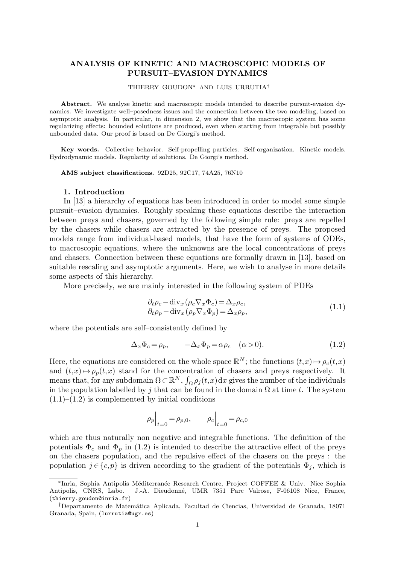# ANALYSIS OF KINETIC AND MACROSCOPIC MODELS OF PURSUIT–EVASION DYNAMICS

#### THIERRY GOUDON<sup>∗</sup> AND LUIS URRUTIA†

Abstract. We analyse kinetic and macroscopic models intended to describe pursuit-evasion dynamics. We investigate well–posedness issues and the connection between the two modeling, based on asymptotic analysis. In particular, in dimension 2, we show that the macroscopic system has some regularizing effects: bounded solutions are produced, even when starting from integrable but possibly unbounded data. Our proof is based on De Giorgi's method.

Key words. Collective behavior. Self-propelling particles. Self-organization. Kinetic models. Hydrodynamic models. Regularity of solutions. De Giorgi's method.

AMS subject classifications. 92D25, 92C17, 74A25, 76N10

#### 1. Introduction

In [13] a hierarchy of equations has been introduced in order to model some simple pursuit–evasion dynamics. Roughly speaking these equations describe the interaction between preys and chasers, governed by the following simple rule: preys are repelled by the chasers while chasers are attracted by the presence of preys. The proposed models range from individual-based models, that have the form of systems of ODEs, to macroscopic equations, where the unknowns are the local concentrations of preys and chasers. Connection between these equations are formally drawn in [13], based on suitable rescaling and asymptotic arguments. Here, we wish to analyse in more details some aspects of this hierarchy.

More precisely, we are mainly interested in the following system of PDEs

$$
\partial_t \rho_c - \text{div}_x (\rho_c \nabla_x \Phi_c) = \Delta_x \rho_c, \n\partial_t \rho_p - \text{div}_x (\rho_p \nabla_x \Phi_p) = \Delta_x \rho_p,
$$
\n(1.1)

where the potentials are self–consistently defined by

$$
\Delta_x \Phi_c = \rho_p, \qquad -\Delta_x \Phi_p = \alpha \rho_c \quad (\alpha > 0). \tag{1.2}
$$

Here, the equations are considered on the whole space  $\mathbb{R}^N$ ; the functions  $(t,x)\mapsto\rho_c(t,x)$ and  $(t,x)\mapsto\rho_p(t,x)$  stand for the concentration of chasers and preys respectively. It means that, for any subdomain  $\Omega \subset \mathbb{R}^N$ ,  $\int_{\Omega} \rho_j(t,x) dx$  gives the number of the individuals in the population labelled by j that can be found in the domain  $\Omega$  at time t. The system  $(1.1)$ – $(1.2)$  is complemented by initial conditions

$$
\rho_p\Big|_{t=0} = \rho_{p,0}, \qquad \rho_c\Big|_{t=0} = \rho_{c,0}
$$

which are thus naturally non negative and integrable functions. The definition of the potentials  $\Phi_c$  and  $\Phi_p$  in (1.2) is intended to describe the attractive effect of the preys on the chasers population, and the repulsive effect of the chasers on the preys : the population  $j \in \{c, p\}$  is driven according to the gradient of the potentials  $\Phi_j$ , which is

<sup>∗</sup>Inria, Sophia Antipolis M´editerran´ee Research Centre, Project COFFEE & Univ. Nice Sophia Antipolis, CNRS, Labo. J.-A. Dieudonn´e, UMR 7351 Parc Valrose, F-06108 Nice, France, (thierry.goudon@inria.fr)

<sup>†</sup>Departamento de Matem´atica Aplicada, Facultad de Ciencias, Universidad de Granada, 18071 Granada, Spain, (lurrutia@ugr.es)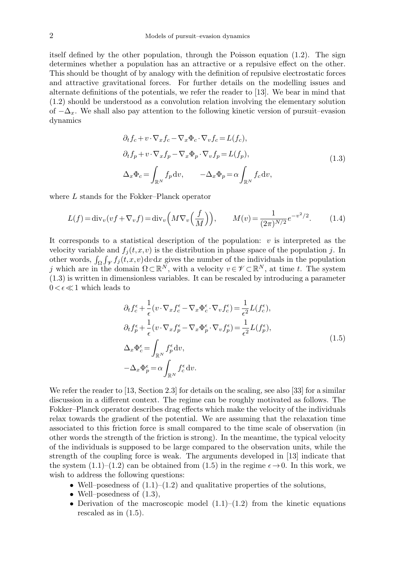itself defined by the other population, through the Poisson equation (1.2). The sign determines whether a population has an attractive or a repulsive effect on the other. This should be thought of by analogy with the definition of repulsive electrostatic forces and attractive gravitational forces. For further details on the modelling issues and alternate definitions of the potentials, we refer the reader to [13]. We bear in mind that (1.2) should be understood as a convolution relation involving the elementary solution of  $-\Delta_x$ . We shall also pay attention to the following kinetic version of pursuit–evasion dynamics

$$
\partial_t f_c + v \cdot \nabla_x f_c - \nabla_x \Phi_c \cdot \nabla_v f_c = L(f_c),
$$
  
\n
$$
\partial_t f_p + v \cdot \nabla_x f_p - \nabla_x \Phi_p \cdot \nabla_v f_p = L(f_p),
$$
  
\n
$$
\Delta_x \Phi_c = \int_{\mathbb{R}^N} f_p dv, \qquad -\Delta_x \Phi_p = \alpha \int_{\mathbb{R}^N} f_c dv,
$$
\n(1.3)

where L stands for the Fokker–Planck operator

$$
L(f) = \text{div}_v(vf + \nabla_v f) = \text{div}_v\left(M\nabla_v\left(\frac{f}{M}\right)\right), \qquad M(v) = \frac{1}{(2\pi)^{N/2}}e^{-v^2/2}.
$$
 (1.4)

It corresponds to a statistical description of the population:  $v$  is interpreted as the velocity variable and  $f_i(t,x,v)$  is the distribution in phase space of the population j. In other words,  $\int_{\Omega} \int_{\mathcal{V}} f_j(t,x,v) dv dx$  gives the number of the individuals in the population j which are in the domain  $\Omega \subset \mathbb{R}^N$ , with a velocity  $v \in \mathscr{V} \subset \mathbb{R}^N$ , at time t. The system (1.3) is written in dimensionless variables. It can be rescaled by introducing a parameter  $0 < \epsilon \ll 1$  which leads to

$$
\partial_t f_c^{\epsilon} + \frac{1}{\epsilon} (v \cdot \nabla_x f_c^{\epsilon} - \nabla_x \Phi_c^{\epsilon} \cdot \nabla_v f_c^{\epsilon}) = \frac{1}{\epsilon^2} L(f_c^{\epsilon}),
$$
  
\n
$$
\partial_t f_p^{\epsilon} + \frac{1}{\epsilon} (v \cdot \nabla_x f_p^{\epsilon} - \nabla_x \Phi_p^{\epsilon} \cdot \nabla_v f_p^{\epsilon}) = \frac{1}{\epsilon^2} L(f_p^{\epsilon}),
$$
  
\n
$$
\Delta_x \Phi_c^{\epsilon} = \int_{\mathbb{R}^N} f_p^{\epsilon} dv,
$$
  
\n
$$
-\Delta_x \Phi_p^{\epsilon} = \alpha \int_{\mathbb{R}^N} f_c^{\epsilon} dv.
$$
\n(1.5)

We refer the reader to [13, Section 2.3] for details on the scaling, see also [33] for a similar discussion in a different context. The regime can be roughly motivated as follows. The Fokker–Planck operator describes drag effects which make the velocity of the individuals relax towards the gradient of the potential. We are assuming that the relaxation time associated to this friction force is small compared to the time scale of observation (in other words the strength of the friction is strong). In the meantime, the typical velocity of the individuals is supposed to be large compared to the observation units, while the strength of the coupling force is weak. The arguments developed in [13] indicate that the system  $(1.1)$ – $(1.2)$  can be obtained from  $(1.5)$  in the regime  $\epsilon \rightarrow 0$ . In this work, we wish to address the following questions:

- Well–posedness of  $(1.1)$ – $(1.2)$  and qualitative properties of the solutions,
- Well–posedness of  $(1.3)$ ,
- Derivation of the macroscopic model  $(1.1)$ – $(1.2)$  from the kinetic equations rescaled as in (1.5).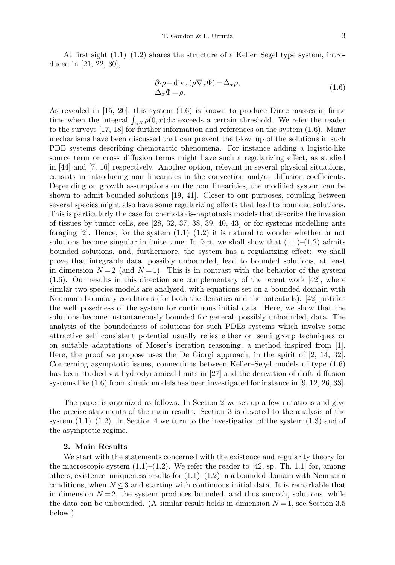At first sight  $(1.1)$ – $(1.2)$  shares the structure of a Keller–Segel type system, introduced in [21, 22, 30],

$$
\partial_t \rho - \text{div}_x (\rho \nabla_x \Phi) = \Delta_x \rho,
$$
  
 
$$
\Delta_x \Phi = \rho.
$$
 (1.6)

As revealed in [15, 20], this system (1.6) is known to produce Dirac masses in finite time when the integral  $\int_{\mathbb{R}^N} \rho(0,x) dx$  exceeds a certain threshold. We refer the reader to the surveys [17, 18] for further information and references on the system (1.6). Many mechanisms have been discussed that can prevent the blow–up of the solutions in such PDE systems describing chemotactic phenomena. For instance adding a logistic-like source term or cross–diffusion terms might have such a regularizing effect, as studied in [44] and [7, 16] respectively. Another option, relevant in several physical situations, consists in introducing non–linearities in the convection and/or diffusion coefficients. Depending on growth assumptions on the non–linearities, the modified system can be shown to admit bounded solutions [19, 41]. Closer to our purposes, coupling between several species might also have some regularizing effects that lead to bounded solutions. This is particularly the case for chemotaxis-haptotaxis models that describe the invasion of tissues by tumor cells, see [28, 32, 37, 38, 39, 40, 43] or for systems modelling ants foraging [2]. Hence, for the system  $(1.1)$ – $(1.2)$  it is natural to wonder whether or not solutions become singular in finite time. In fact, we shall show that  $(1.1)$ – $(1.2)$  admits bounded solutions, and, furthermore, the system has a regularizing effect: we shall prove that integrable data, possibly unbounded, lead to bounded solutions, at least in dimension  $N=2$  (and  $N=1$ ). This is in contrast with the behavior of the system (1.6). Our results in this direction are complementary of the recent work [42], where similar two-species models are analysed, with equations set on a bounded domain with Neumann boundary conditions (for both the densities and the potentials): [42] justifies the well–posedness of the system for continuous initial data. Here, we show that the solutions become instantaneously bounded for general, possibly unbounded, data. The analysis of the boundedness of solutions for such PDEs systems which involve some attractive self–consistent potential usually relies either on semi–group techniques or on suitable adaptations of Moser's iteration reasoning, a method inspired from [1]. Here, the proof we propose uses the De Giorgi approach, in the spirit of [2, 14, 32]. Concerning asymptotic issues, connections between Keller–Segel models of type (1.6) has been studied via hydrodynamical limits in [27] and the derivation of drift–diffusion systems like (1.6) from kinetic models has been investigated for instance in [9, 12, 26, 33].

The paper is organized as follows. In Section 2 we set up a few notations and give the precise statements of the main results. Section 3 is devoted to the analysis of the system  $(1.1)$ – $(1.2)$ . In Section 4 we turn to the investigation of the system  $(1.3)$  and of the asymptotic regime.

## 2. Main Results

We start with the statements concerned with the existence and regularity theory for the macroscopic system  $(1.1)$ – $(1.2)$ . We refer the reader to [42, sp. Th. 1.1] for, among others, existence–uniqueness results for  $(1.1)$ – $(1.2)$  in a bounded domain with Neumann conditions, when  $N \leq 3$  and starting with continuous initial data. It is remarkable that in dimension  $N = 2$ , the system produces bounded, and thus smooth, solutions, while the data can be unbounded. (A similar result holds in dimension  $N=1$ , see Section 3.5 below.)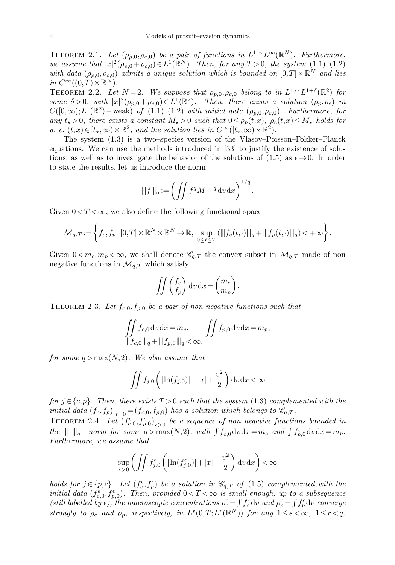THEOREM 2.1. Let  $(\rho_{p,0}, \rho_{c,0})$  be a pair of functions in  $L^1 \cap L^{\infty}(\mathbb{R}^N)$ . Furthermore, we assume that  $|x|^2(\rho_{p,0}+\rho_{c,0})\in L^1(\mathbb{R}^N)$ . Then, for any  $T>0$ , the system  $(1.1)-(1.2)$ with data  $(\rho_{p,0}, \rho_{c,0})$  admits a unique solution which is bounded on  $[0,T] \times \mathbb{R}^N$  and lies in  $C^{\infty}((0,T)\times \mathbb{R}^N)$ .

THEOREM 2.2. Let  $N=2$ . We suppose that  $\rho_{p,0}, \rho_{c,0}$  belong to in  $L^1 \cap L^{1+\delta}(\mathbb{R}^2)$  for some  $\delta > 0$ , with  $|x|^2(\rho_{p,0} + \rho_{c,0}) \in L^1(\mathbb{R}^2)$ . Then, there exists a solution  $(\rho_p, \rho_c)$  in  $C([0,\infty);L^1(\mathbb{R}^2)$  – weak) of  $(1.1)-(1.2)$  with initial data  $(\rho_{p,0},\rho_{c,0})$ . Furthermore, for any  $t_{\star} > 0$ , there exists a constant  $M_{\star} > 0$  such that  $0 \leq \rho_p(t,x)$ ,  $\rho_c(t,x) \leq M_{\star}$  holds for *a. e.*  $(t, x) \in [t_{\star}, \infty) \times \mathbb{R}^2$ , and the solution lies in  $C^{\infty}([t_{\star}, \infty) \times \mathbb{R}^2)$ .

The system (1.3) is a two–species version of the Vlasov–Poisson–Fokker–Planck equations. We can use the methods introduced in [33] to justify the existence of solutions, as well as to investigate the behavior of the solutions of (1.5) as  $\epsilon \rightarrow 0$ . In order to state the results, let us introduce the norm

$$
\|f\|_{q} := \left(\iint f^q M^{1-q} dv \,dx\right)^{1/q}.
$$

Given  $0 < T < \infty$ , we also define the following functional space

$$
\mathcal{M}_{q,T} := \left\{ f_c, f_p : [0,T] \times \mathbb{R}^N \times \mathbb{R}^N \to \mathbb{R}, \sup_{0 \le t \le T} (\|f_c(t,\cdot)\|_{q} + \|f_p(t,\cdot)\|_{q}) < +\infty \right\}.
$$

Given  $0 \lt m_c, m_p \lt \infty$ , we shall denote  $\mathscr{C}_{q,T}$  the convex subset in  $\mathcal{M}_{q,T}$  made of non negative functions in  $\mathcal{M}_{q,T}$  which satisfy

$$
\iint \begin{pmatrix} f_c \\ f_p \end{pmatrix} dv dx = \begin{pmatrix} m_c \\ m_p \end{pmatrix}.
$$

THEOREM 2.3. Let  $f_{c,0}$ ,  $f_{p,0}$  be a pair of non negative functions such that

$$
\iint_{\|f_{c,0}\|_{q} + \|f_{p,0}\|_{q}} f_{c,0} dv \, dx = m_c, \qquad \iint f_{p,0} dv \, dx = m_p,
$$

for some  $q > max(N,2)$ . We also assume that

$$
\iint f_{j,0}\left(|\ln(f_{j,0})|+|x|+\frac{v^2}{2}\right)dv\,\mathrm{d}x < \infty
$$

for  $j \in \{c, p\}$ . Then, there exists  $T > 0$  such that the system (1.3) complemented with the initial data  $(f_c, f_p)|_{t=0} = (f_{c,0}, f_{p,0})$  has a solution which belongs to  $\mathscr{C}_{q,T}$ .

THEOREM 2.4. Let  $(f_{c,0}^{\epsilon}, f_{p,0}^{\epsilon})_{\epsilon>0}$  be a sequence of non negative functions bounded in the  $|||\cdot|||_q$  -norm for some  $q > \max(N, 2)$ , with  $\int f_{c,0}^{\epsilon} dv dx = m_c$  and  $\int f_{p,0}^{\epsilon} dv dx = m_p$ . Furthermore, we assume that

$$
\sup_{\epsilon>0} \left( \iint f_{j,0}^{\epsilon} \left( |\ln(f_{j,0}^{\epsilon})| + |x| + \frac{v^2}{2} \right) \mathrm{d}v \, \mathrm{d}x \right) < \infty
$$

holds for  $j \in \{p,c\}$ . Let  $(f_c^{\epsilon}, f_p^{\epsilon})$  be a solution in  $\mathscr{C}_{q,T}$  of (1.5) complemented with the initial data  $(f_{c,0}^{\epsilon}, f_{p,0}^{\epsilon})$ . Then, provided  $0 < T < \infty$  is small enough, up to a subsequence (still labelled by  $\epsilon$ ), the macroscopic concentrations  $\rho_c^{\epsilon} = \int f_c^{\epsilon} dv$  and  $\rho_p^{\epsilon} = \int f_p^{\epsilon} dv$  converge strongly to  $\rho_c$  and  $\rho_p$ , respectively, in  $L^s(0,T;L^r(\mathbb{R}^N))$  for any  $1 \leq s \leq \infty$ ,  $1 \leq r < q$ ,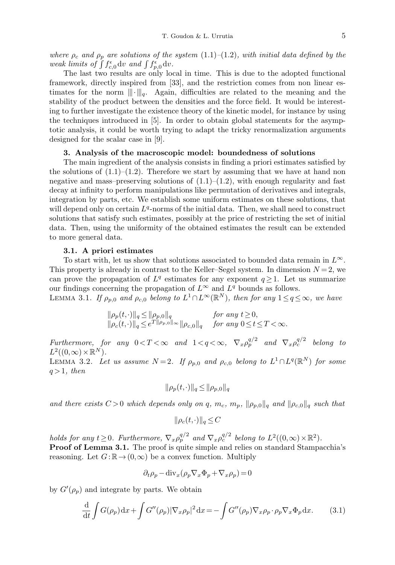where  $\rho_c$  and  $\rho_p$  are solutions of the system  $(1.1)-(1.2)$ , with initial data defined by the weak limits of  $\int f_{c,0}^{\epsilon} dv$  and  $\int f_{p,0}^{\epsilon} dv$ .

The last two results are only local in time. This is due to the adopted functional framework, directly inspired from [33], and the restriction comes from non linear estimates for the norm  $\|\cdot\|_q$ . Again, difficulties are related to the meaning and the stability of the product between the densities and the force field. It would be interesting to further investigate the existence theory of the kinetic model, for instance by using the techniques introduced in [5]. In order to obtain global statements for the asymptotic analysis, it could be worth trying to adapt the tricky renormalization arguments designed for the scalar case in [9].

## 3. Analysis of the macroscopic model: boundedness of solutions

The main ingredient of the analysis consists in finding a priori estimates satisfied by the solutions of  $(1.1)$ – $(1.2)$ . Therefore we start by assuming that we have at hand non negative and mass–preserving solutions of  $(1.1)$ – $(1.2)$ , with enough regularity and fast decay at infinity to perform manipulations like permutation of derivatives and integrals, integration by parts, etc. We establish some uniform estimates on these solutions, that will depend only on certain  $L<sup>q</sup>$ -norms of the initial data. Then, we shall need to construct solutions that satisfy such estimates, possibly at the price of restricting the set of initial data. Then, using the uniformity of the obtained estimates the result can be extended to more general data.

### 3.1. A priori estimates

To start with, let us show that solutions associated to bounded data remain in  $L^{\infty}$ . This property is already in contrast to the Keller–Segel system. In dimension  $N = 2$ , we can prove the propagation of  $L^q$  estimates for any exponent  $q \geq 1$ . Let us summarize our findings concerning the propagation of  $L^{\infty}$  and  $L^{q}$  bounds as follows.

LEMMA 3.1. If  $\rho_{p,0}$  and  $\rho_{c,0}$  belong to  $L^1 \cap L^{\infty}(\mathbb{R}^N)$ , then for any  $1 \leq q \leq \infty$ , we have

$$
\|\rho_p(t,\cdot)\|_q \le \|\rho_{p,0}\|_q \qquad \text{for any } t \ge 0, \|\rho_c(t,\cdot)\|_q \le e^{T\|\rho_{p,0}\|_\infty} \|\rho_{c,0}\|_q \qquad \text{for any } 0 \le t \le T < \infty.
$$

Furthermore, for any  $0 < T < \infty$  and  $1 < q < \infty$ ,  $\nabla_x \rho_p^{q/2}$  and  $\nabla_x \rho_c^{q/2}$  belong to  $L^2((0,\infty)\times \mathbb{R}^N)$ .

LEMMA 3.2. Let us assume  $N=2$ . If  $\rho_{p,0}$  and  $\rho_{c,0}$  belong to  $L^1 \cap L^q(\mathbb{R}^N)$  for some  $q>1$ , then

$$
\|\rho_p(t,\cdot)\|_q \le \|\rho_{p,0}\|_q
$$

and there exists  $C > 0$  which depends only on q,  $m_c$ ,  $m_p$ ,  $\|\rho_{p,0}\|_q$  and  $\|\rho_{c,0}\|_q$  such that

$$
\|\rho_c(t,\cdot)\|_q \le C
$$

holds for any  $t \geq 0$ . Furthermore,  $\nabla_x \rho_p^{q/2}$  and  $\nabla_x \rho_c^{q/2}$  belong to  $L^2((0,\infty) \times \mathbb{R}^2)$ .

Proof of Lemma 3.1. The proof is quite simple and relies on standard Stampacchia's reasoning. Let  $G:\mathbb{R}\to(0,\infty)$  be a convex function. Multiply

$$
\partial_t \rho_p - \text{div}_x(\rho_p \nabla_x \Phi_p + \nabla_x \rho_p) = 0
$$

by  $G'(\rho_p)$  and integrate by parts. We obtain

$$
\frac{\mathrm{d}}{\mathrm{d}t} \int G(\rho_p) \mathrm{d}x + \int G''(\rho_p) |\nabla_x \rho_p|^2 \mathrm{d}x = - \int G''(\rho_p) \nabla_x \rho_p \cdot \rho_p \nabla_x \Phi_p \mathrm{d}x. \tag{3.1}
$$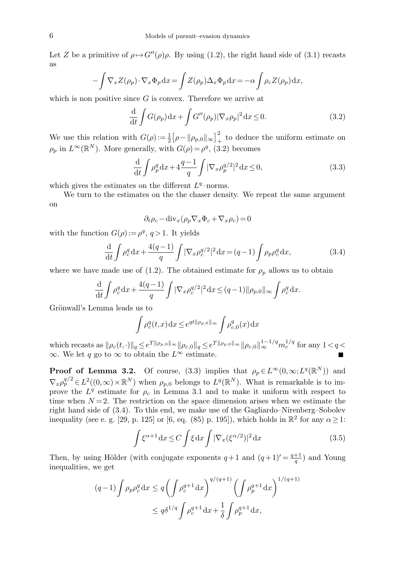Let Z be a primitive of  $\rho \mapsto G''(\rho)\rho$ . By using (1.2), the right hand side of (3.1) recasts as

$$
-\int \nabla_x Z(\rho_p) \cdot \nabla_x \Phi_p \,dx = \int Z(\rho_p) \Delta_x \Phi_p \,dx = -\alpha \int \rho_c Z(\rho_p) \,dx,
$$

which is non positive since  $G$  is convex. Therefore we arrive at

$$
\frac{\mathrm{d}}{\mathrm{d}t} \int G(\rho_p) \mathrm{d}x + \int G''(\rho_p) |\nabla_x \rho_p|^2 \mathrm{d}x \le 0. \tag{3.2}
$$

We use this relation with  $G(\rho) := \frac{1}{2} [\rho - ||\rho_{p,0}||_{\infty}]_+^2$  to deduce the uniform estimate on  $\rho_p$  in  $L^{\infty}(\mathbb{R}^N)$ . More generally, with  $G(\rho) = \rho^q$ , (3.2) becomes

$$
\frac{\mathrm{d}}{\mathrm{d}t} \int \rho_p^q \mathrm{d}x + 4\frac{q-1}{q} \int |\nabla_x \rho_p^{q/2}|^2 \mathrm{d}x \le 0,\tag{3.3}
$$

which gives the estimates on the different  $L<sup>q</sup>$ -norms.

We turn to the estimates on the the chaser density. We repeat the same argument on

$$
\partial_t \rho_c - \text{div}_x (\rho_p \nabla_x \Phi_c + \nabla_x \rho_c) = 0
$$

with the function  $G(\rho) := \rho^q, q > 1$ . It yields

$$
\frac{\mathrm{d}}{\mathrm{d}t} \int \rho_c^q \mathrm{d}x + \frac{4(q-1)}{q} \int |\nabla_x \rho_c^{q/2}|^2 \mathrm{d}x = (q-1) \int \rho_p \rho_c^q \mathrm{d}x,\tag{3.4}
$$

where we have made use of (1.2). The obtained estimate for  $\rho_p$  allows us to obtain

$$
\frac{\mathrm{d}}{\mathrm{d}t} \int \rho_c^q \, \mathrm{d}x + \frac{4(q-1)}{q} \int |\nabla_x \rho_c^{q/2}|^2 \, \mathrm{d}x \le (q-1) \|\rho_{p,0}\|_{\infty} \int \rho_c^q \, \mathrm{d}x.
$$

Grönwall's Lemma leads us to

$$
\int \rho_c^q(t,x) dx \le e^{qt \|\rho_{p,0}\|_\infty} \int \rho_{c,0}^q(x) dx
$$

which recasts as  $\|\rho_c(t,\cdot)\|_q \leq e^{T \|\rho_{p,0}\|_\infty} \|\rho_{c,0}\|_q \leq e^{T \|\rho_{p,0}\|_\infty} \|\rho_{c,0}\|_\infty^{1-1/q} m_c^{1/q}$  for any  $1 < q <$  $\infty$ . We let q go to  $\infty$  to obtain the  $L^{\infty}$  estimate.

**Proof of Lemma 3.2.** Of course, (3.3) implies that  $\rho_p \in L^{\infty}(0,\infty; L^q(\mathbb{R}^N))$  and  $\nabla_x \rho_p^{q/2} \in L^2((0,\infty) \times \mathbb{R}^N)$  when  $\rho_{p,0}$  belongs to  $L^q(\mathbb{R}^N)$ . What is remarkable is to improve the  $L^q$  estimate for  $\rho_c$  in Lemma 3.1 and to make it uniform with respect to time when  $N=2$ . The restriction on the space dimension arises when we estimate the right hand side of (3.4). To this end, we make use of the Gagliardo–Nirenberg–Sobolev inequality (see e. g. [29, p. 125] or [6, eq. (85) p. 195]), which holds in  $\mathbb{R}^2$  for any  $\alpha \geq 1$ :

$$
\int \xi^{\alpha+1} dx \le C \int \xi dx \int |\nabla_x (\xi^{\alpha/2})|^2 dx \tag{3.5}
$$

Then, by using Hölder (with conjugate exponents  $q+1$  and  $(q+1)' = \frac{q+1}{q}$ ) and Young inequalities, we get

$$
(q-1)\int \rho_p \rho_c^q dx \le q \left(\int \rho_c^{q+1} dx\right)^{q/(q+1)} \left(\int \rho_p^{q+1} dx\right)^{1/(q+1)}
$$
  

$$
\le q\delta^{1/q} \int \rho_c^{q+1} dx + \frac{1}{\delta} \int \rho_p^{q+1} dx,
$$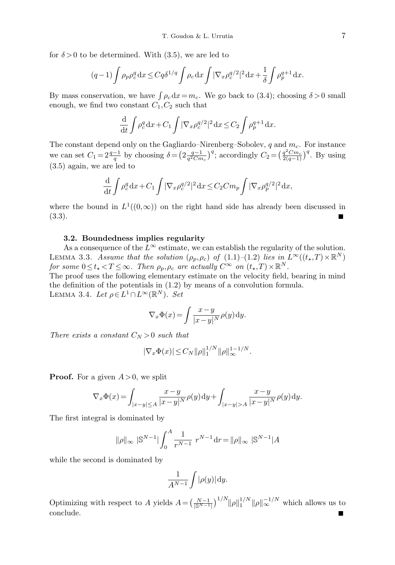for  $\delta > 0$  to be determined. With (3.5), we are led to

$$
(q-1)\int \rho_p \rho_c^q dx \le C q \delta^{1/q} \int \rho_c dx \int |\nabla_x \rho_c^{q/2}|^2 dx + \frac{1}{\delta} \int \rho_p^{q+1} dx.
$$

By mass conservation, we have  $\int \rho_c dx = m_c$ . We go back to (3.4); choosing  $\delta > 0$  small enough, we find two constant  $C_1, C_2$  such that

$$
\frac{\mathrm{d}}{\mathrm{d}t} \int \rho_c^q \mathrm{d}x + C_1 \int |\nabla_x \rho_c^{q/2}|^2 \mathrm{d}x \le C_2 \int \rho_p^{q+1} \mathrm{d}x.
$$

The constant depend only on the Gagliardo–Nirenberg–Sobolev,  $q$  and  $m_c$ . For instance we can set  $C_1 = 2\frac{q-1}{q}$  by choosing  $\delta = \left(2\frac{q-1}{q^2Cm_c}\right)^q$ ; accordingly  $C_2 = \left(\frac{q^2Cm_c}{2(q-1)}\right)^q$ . By using (3.5) again, we are led to

$$
\frac{\mathrm{d}}{\mathrm{d}t} \int \rho_c^q \mathrm{d}x + C_1 \int |\nabla_x \rho_c^{q/2}|^2 \mathrm{d}x \le C_2 C m_p \int |\nabla_x \rho_p^{q/2}|^2 \mathrm{d}x,
$$

where the bound in  $L^1((0,\infty))$  on the right hand side has already been discussed in (3.3).

### 3.2. Boundedness implies regularity

As a consequence of the  $L^{\infty}$  estimate, we can establish the regularity of the solution. LEMMA 3.3. Assume that the solution  $(\rho_p, \rho_c)$  of  $(1.1)$ - $(1.2)$  lies in  $L^{\infty}((t_*,T) \times \mathbb{R}^N)$ for some  $0 \le t_* < T \le \infty$ . Then  $\rho_p, \rho_c$  are actually  $C^{\infty}$  on  $(t_*,T) \times \mathbb{R}^N$ .

The proof uses the following elementary estimate on the velocity field, bearing in mind the definition of the potentials in (1.2) by means of a convolution formula. LEMMA 3.4. Let  $\rho \in L^1 \cap L^\infty(\mathbb{R}^N)$ . Set

$$
\nabla_x \Phi(x) = \int \frac{x - y}{|x - y|^N} \rho(y) \, dy.
$$

There exists a constant  $C_N > 0$  such that

$$
|\nabla_x \Phi(x)| \leq C_N ||\rho||_1^{1/N} ||\rho||_{\infty}^{1-1/N}.
$$

**Proof.** For a given  $A > 0$ , we split

$$
\nabla_x \Phi(x) = \int_{|x-y| \le A} \frac{x-y}{|x-y|^N} \rho(y) dy + \int_{|x-y| > A} \frac{x-y}{|x-y|^N} \rho(y) dy.
$$

The first integral is dominated by

$$
\|\rho\|_{\infty} \|\mathbb{S}^{N-1}\| \int_0^A \frac{1}{r^{N-1}} \ r^{N-1} \, dr = \|\rho\|_{\infty} \|\mathbb{S}^{N-1}\|A
$$

while the second is dominated by

$$
\frac{1}{A^{N-1}}\int |\rho(y)|\mathrm{d}y.
$$

Optimizing with respect to A yields  $A = \left(\frac{N-1}{\lfloor S^{N-1} \rfloor}\right)^{1/N} ||\rho||_1^{1/N} ||\rho||_{\infty}^{-1/N}$  which allows us to conclude.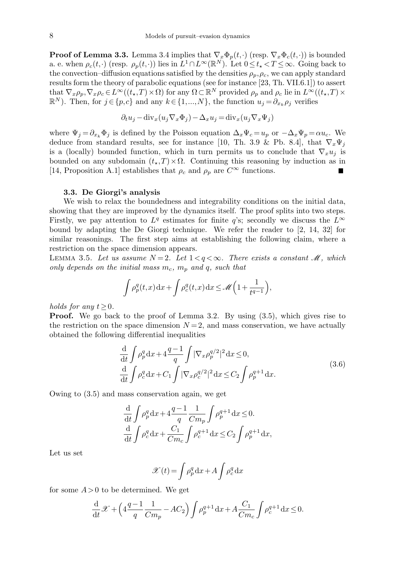**Proof of Lemma 3.3.** Lemma 3.4 implies that  $\nabla_x \Phi_p(t, \cdot)$  (resp.  $\nabla_x \Phi_c(t, \cdot)$ ) is bounded a. e. when  $\rho_c(t, \cdot)$  (resp.  $\rho_p(t, \cdot)$ ) lies in  $L^1 \cap L^\infty(\mathbb{R}^N)$ . Let  $0 \le t_* < T \le \infty$ . Going back to the convection–diffusion equations satisfied by the densities  $\rho_p, \rho_c$ , we can apply standard results form the theory of parabolic equations (see for instance [23, Th. VII.6.1]) to assert that  $\nabla_x \rho_p, \nabla_x \rho_c \in L^{\infty}((t_*,T) \times \Omega)$  for any  $\Omega \subset \mathbb{R}^N$  provided  $\rho_p$  and  $\rho_c$  lie in  $L^{\infty}((t_*,T) \times$  $\mathbb{R}^N$ ). Then, for  $j \in \{p,c\}$  and any  $k \in \{1,...,N\}$ , the function  $u_j = \partial_{x_k} \rho_j$  verifies

$$
\partial_t u_j - \text{div}_x(u_j \nabla_x \Phi_j) - \Delta_x u_j = \text{div}_x(u_j \nabla_x \Psi_j)
$$

where  $\Psi_j = \partial_{x_k} \Phi_j$  is defined by the Poisson equation  $\Delta_x \Psi_c = u_p$  or  $-\Delta_x \Psi_p = \alpha u_c$ . We deduce from standard results, see for instance [10, Th. 3.9 & Pb. 8.4], that  $\nabla_x \Psi_i$ is a (locally) bounded function, which in turn permits us to conclude that  $\nabla_x u_i$  is bounded on any subdomain  $(t_*,T)\times\Omega$ . Continuing this reasoning by induction as in [14, Proposition A.1] establishes that  $\rho_c$  and  $\rho_p$  are  $C^{\infty}$  functions.

### 3.3. De Giorgi's analysis

We wish to relax the boundedness and integrability conditions on the initial data, showing that they are improved by the dynamics itself. The proof splits into two steps. Firstly, we pay attention to  $L^q$  estimates for finite q's; secondly we discuss the  $L^{\infty}$ bound by adapting the De Giorgi technique. We refer the reader to [2, 14, 32] for similar reasonings. The first step aims at establishing the following claim, where a restriction on the space dimension appears.

LEMMA 3.5. Let us assume  $N=2$ . Let  $1 < q < \infty$ . There exists a constant M, which only depends on the initial mass  $m_c$ ,  $m_p$  and q, such that

$$
\int \rho_p^q(t,x) dx + \int \rho_c^q(t,x) dx \le \mathcal{M}\left(1 + \frac{1}{t^{q-1}}\right),
$$

holds for any  $t>0$ .

**Proof.** We go back to the proof of Lemma 3.2. By using  $(3.5)$ , which gives rise to the restriction on the space dimension  $N = 2$ , and mass conservation, we have actually obtained the following differential inequalities

$$
\frac{\mathrm{d}}{\mathrm{d}t} \int \rho_p^q \mathrm{d}x + 4 \frac{q-1}{q} \int |\nabla_x \rho_p^{q/2}|^2 \mathrm{d}x \le 0,
$$
\n
$$
\frac{\mathrm{d}}{\mathrm{d}t} \int \rho_c^q \mathrm{d}x + C_1 \int |\nabla_x \rho_c^{q/2}|^2 \mathrm{d}x \le C_2 \int \rho_p^{q+1} \mathrm{d}x.
$$
\n(3.6)

Owing to (3.5) and mass conservation again, we get

$$
\frac{\mathrm{d}}{\mathrm{d}t} \int \rho_p^q \mathrm{d}x + 4 \frac{q-1}{q} \frac{1}{Cm_p} \int \rho_p^{q+1} \mathrm{d}x \le 0.
$$
\n
$$
\frac{\mathrm{d}}{\mathrm{d}t} \int \rho_c^q \mathrm{d}x + \frac{C_1}{Cm_c} \int \rho_c^{q+1} \mathrm{d}x \le C_2 \int \rho_p^{q+1} \mathrm{d}x,
$$

Let us set

$$
\mathcal{X}(t) = \int \rho_p^q \, dx + A \int \rho_c^q \, dx
$$

for some  $A > 0$  to be determined. We get

$$
\frac{\mathrm{d}}{\mathrm{d}t}\mathscr{X} + \left(4\frac{q-1}{q}\frac{1}{Cm_p} - AC_2\right) \int \rho_p^{q+1} \mathrm{d}x + A \frac{C_1}{Cm_c} \int \rho_c^{q+1} \mathrm{d}x \le 0.
$$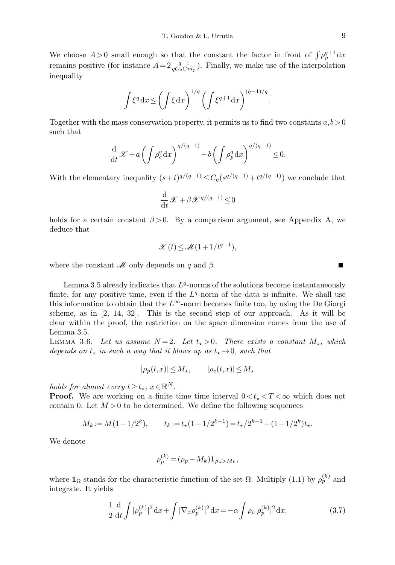We choose  $A > 0$  small enough so that the constant the factor in front of  $\int \rho_p^{q+1} dx$ remains positive (for instance  $A=2\frac{q-1}{qC_2Cm_p}$ ). Finally, we make use of the interpolation inequality

$$
\int \xi^q dx \le \left(\int \xi dx\right)^{1/q} \left(\int \xi^{q+1} dx\right)^{(q-1)/q}.
$$

Together with the mass conservation property, it permits us to find two constants  $a, b > 0$ such that

$$
\frac{\mathrm{d}}{\mathrm{d}t}\mathscr{X} + a\left(\int \rho_c^q \mathrm{d}x\right)^{q/(q-1)} + b\left(\int \rho_p^q \mathrm{d}x\right)^{q/(q-1)} \le 0.
$$

With the elementary inequality  $(s+t)^{q/(q-1)} \leq C_q(s^{q/(q-1)}+t^{q/(q-1)})$  we conclude that

$$
\frac{\mathrm{d}}{\mathrm{d}t}\mathcal{X} + \beta \mathcal{X}^{q/(q-1)} \le 0
$$

holds for a certain constant  $\beta > 0$ . By a comparison argument, see Appendix A, we deduce that

$$
\mathscr{X}(t) \le \mathscr{M}(1+1/t^{q-1}),
$$

where the constant  $\mathcal M$  only depends on q and  $\beta$ .

Lemma 3.5 already indicates that  $L<sup>q</sup>$ -norms of the solutions become instantaneously finite, for any positive time, even if the  $L<sup>q</sup>$ -norm of the data is infinite. We shall use this information to obtain that the  $L^{\infty}$ -norm becomes finite too, by using the De Giorgi scheme, as in [2, 14, 32]. This is the second step of our approach. As it will be clear within the proof, the restriction on the space dimension comes from the use of Lemma 3.5.

LEMMA 3.6. Let us assume  $N = 2$ . Let  $t_{\star} > 0$ . There exists a constant  $M_{\star}$ , which depends on  $t_{\star}$  in such a way that it blows up as  $t_{\star} \rightarrow 0$ , such that

$$
|\rho_p(t,x)| \le M_\star, \qquad |\rho_c(t,x)| \le M_\star
$$

holds for almost every  $t \ge t_\star$ ,  $x \in \mathbb{R}^N$ .

**Proof.** We are working on a finite time interval  $0 \lt t_* \lt T \lt \infty$  which does not contain 0. Let  $M > 0$  to be determined. We define the following sequences

$$
M_k := M(1 - 1/2^k), \qquad t_k := t_*(1 - 1/2^{k+1}) = t_*/2^{k+1} + (1 - 1/2^k)t_*.
$$

We denote

$$
\rho_p^{(k)} = (\rho_p - M_k) \mathbf{1}_{\rho_p > M_k},
$$

where  $\mathbf{1}_{\Omega}$  stands for the characteristic function of the set  $\Omega$ . Multiply (1.1) by  $\rho_p^{(k)}$  and integrate. It yields

$$
\frac{1}{2}\frac{d}{dt}\int |\rho_p^{(k)}|^2 dx + \int |\nabla_x \rho_p^{(k)}|^2 dx = -\alpha \int \rho_c |\rho_p^{(k)}|^2 dx.
$$
 (3.7)

П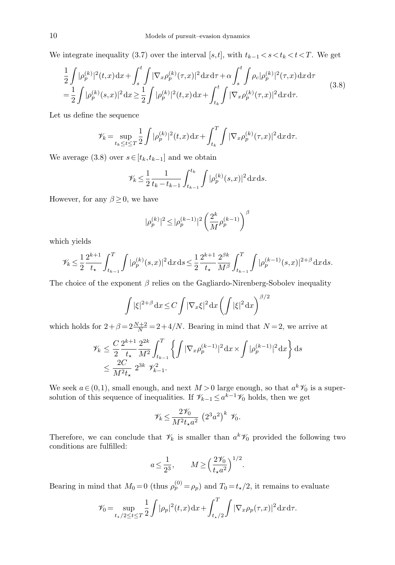We integrate inequality (3.7) over the interval [s,t], with  $t_{k-1} < s < t_k < t < T$ . We get

$$
\frac{1}{2} \int |\rho_p^{(k)}|^2(t,x) dx + \int_s^t \int |\nabla_x \rho_p^{(k)}(\tau, x)|^2 dx d\tau + \alpha \int_s^t \int \rho_c |\rho_p^{(k)}|^2(\tau, x) dx d\tau \n= \frac{1}{2} \int |\rho_p^{(k)}(s,x)|^2 dx \ge \frac{1}{2} \int |\rho_p^{(k)}|^2(t,x) dx + \int_{t_k}^t \int |\nabla_x \rho_p^{(k)}(\tau, x)|^2 dx d\tau.
$$
\n(3.8)

Let us define the sequence

$$
\mathcal{V}_k = \sup_{t_k \le t \le T} \frac{1}{2} \int |\rho_p^{(k)}|^2(t, x) \, dx + \int_{t_k}^T \int |\nabla_x \rho_p^{(k)}(\tau, x)|^2 \, dx \, d\tau.
$$

We average (3.8) over  $s \in [t_k, t_{k-1}]$  and we obtain

$$
\mathscr{V}_k \leq \frac{1}{2} \frac{1}{t_k - t_{k-1}} \int_{t_{k-1}}^{t_k} \int |\rho_p^{(k)}(s,x)|^2 \,dx \,ds.
$$

However, for any  $\beta \geq 0$ , we have

$$
|\rho_p^{(k)}|^2\!\leq\! |\rho_p^{(k-1)}|^2 \left(\frac{2^k}{M}\rho_p^{(k-1)}\right)^{\beta}
$$

which yields

$$
\mathscr{V}_k\leq \frac{1}{2}\frac{2^{k+1}}{t_\star}\int_{t_{k-1}}^T\int|\rho_p^{(k)}(s,x)|^2\,\mathrm{d} x\,\mathrm{d} s\leq \frac{1}{2}\frac{2^{k+1}}{t_\star}\frac{2^{\beta k}}{M^\beta}\int_{t_{k-1}}^T\int|\rho_p^{(k-1)}(s,x)|^{2+\beta}\,\mathrm{d} x\,\mathrm{d} s.
$$

The choice of the exponent  $\beta$  relies on the Gagliardo-Nirenberg-Sobolev inequality

$$
\int |\xi|^{2+\beta} dx \le C \int |\nabla_x \xi|^2 dx \left( \int |\xi|^2 dx \right)^{\beta/2}
$$

which holds for  $2 + \beta = 2\frac{N+2}{N} = 2 + 4/N$ . Bearing in mind that  $N = 2$ , we arrive at

$$
\begin{split} \mathscr{V}_k &\leq \frac{C}{2}\frac{2^{k+1}}{t_\star}\frac{2^{2k}}{M^2}\!\int_{t_{k-1}}^T\left\{\int|\nabla_x\rho_p^{(k-1)}|^2\mathrm{d}x\times\int|\rho_p^{(k-1)}|^2\mathrm{d}x\right\}\mathrm{d}s\\ &\leq \frac{2C}{M^2t_\star}\ 2^{3k}\ \mathscr{V}_{k-1}^2. \end{split}
$$

We seek  $a \in (0,1)$ , small enough, and next  $M > 0$  large enough, so that  $a<sup>k</sup> \mathcal{V}_0$  is a supersolution of this sequence of inequalities. If  $\mathscr{V}_{k-1} \leq a^{k-1}\mathscr{V}_0$  holds, then we get

$$
\mathscr{V}_k \le \frac{2\mathscr{V}_0}{M^2 t_\star a^2} \left(2^3 a^2\right)^k \mathscr{V}_0.
$$

Therefore, we can conclude that  $\mathcal{V}_k$  is smaller than  $a^k \mathcal{V}_0$  provided the following two conditions are fulfilled:

$$
a \le \frac{1}{2^3}, \qquad M \ge \left(\frac{2\mathcal{V}_0}{t_{\star}a^2}\right)^{1/2}.
$$

Bearing in mind that  $M_0 = 0$  (thus  $\rho_p^{(0)} = \rho_p$ ) and  $T_0 = t_\star/2$ , it remains to evaluate

$$
\mathcal{V}_0 = \sup_{t_{\star}/2 \le t \le T} \frac{1}{2} \int |\rho_p|^2(t, x) \, dx + \int_{t_{\star}/2}^T \int |\nabla_x \rho_p(\tau, x)|^2 \, dx \, d\tau.
$$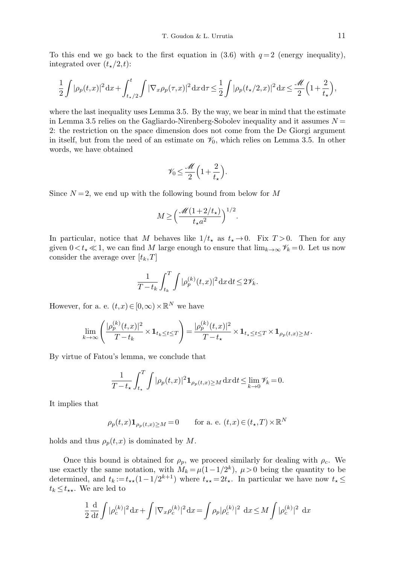To this end we go back to the first equation in  $(3.6)$  with  $q=2$  (energy inequality), integrated over  $(t_{\star}/2,t)$ :

$$
\frac{1}{2}\int |\rho_p(t,x)|^2 dx + \int_{t_{\star}/2}^t \int |\nabla_x \rho_p(\tau,x)|^2 dx d\tau \leq \frac{1}{2}\int |\rho_p(t_{\star}/2,x)|^2 dx \leq \frac{\mathcal{M}}{2} \left(1 + \frac{2}{t_{\star}}\right),
$$

where the last inequality uses Lemma 3.5. By the way, we bear in mind that the estimate in Lemma 3.5 relies on the Gagliardo-Nirenberg-Sobolev inequality and it assumes  $N =$ 2: the restriction on the space dimension does not come from the De Giorgi argument in itself, but from the need of an estimate on  $\mathcal{V}_0$ , which relies on Lemma 3.5. In other words, we have obtained

$$
\mathscr{V}_0 \le \frac{\mathscr{M}}{2} \left( 1 + \frac{2}{t_\star} \right).
$$

Since  $N=2$ , we end up with the following bound from below for M

$$
M \ge \left(\frac{\mathscr{M}(1+2/t_\star)}{t_\star a^2}\right)^{1/2}.
$$

In particular, notice that M behaves like  $1/t_{\star}$  as  $t_{\star} \rightarrow 0$ . Fix  $T > 0$ . Then for any given  $0 < t_{\star} \ll 1$ , we can find M large enough to ensure that  $\lim_{k\to\infty} \mathscr{V}_k = 0$ . Let us now consider the average over  $[t_k,T]$ 

$$
\frac{1}{T-t_k} \int_{t_k}^T \int |\rho_p^{(k)}(t,x)|^2 \, \mathrm{d}x \, \mathrm{d}t \le 2\mathcal{V}_k.
$$

However, for a. e.  $(t, x) \in [0, \infty) \times \mathbb{R}^N$  we have

$$
\lim_{k\to\infty}\left(\frac{|\rho_p^{(k)}(t,x)|^2}{T-t_k}\times\mathbf{1}_{t_k\leq t\leq T}\right)=\frac{|\rho_p^{(k)}(t,x)|^2}{T-t_\star}\times\mathbf{1}_{t_\star\leq t\leq T}\times\mathbf{1}_{\rho_p(t,x)\geq M}.
$$

By virtue of Fatou's lemma, we conclude that

$$
\frac{1}{T-t_{\star}}\int_{t_{\star}}^{T}\int |\rho_{p}(t,x)|^{2} \mathbf{1}_{\rho_{p}(t,x)\geq M} dx dt \leq \lim_{k\to 0} \mathscr{V}_{k} = 0.
$$

It implies that

$$
\rho_p(t,x)\mathbf{1}_{\rho_p(t,x)\geq M} = 0 \qquad \text{for a. e. } (t,x) \in (t_\star, T) \times \mathbb{R}^N
$$

holds and thus  $\rho_p(t,x)$  is dominated by M.

Once this bound is obtained for  $\rho_p$ , we proceed similarly for dealing with  $\rho_c$ . We use exactly the same notation, with  $\tilde{M}_k = \mu(1-1/2^k)$ ,  $\mu > 0$  being the quantity to be determined, and  $t_k := t_{**}(1 - 1/2^{k+1})$  where  $t_{**} = 2t_{**}$ . In particular we have now  $t_{*} \leq$  $t_k \leq t_{\star\star}$ . We are led to

$$
\frac{1}{2} \frac{d}{dt} \int |\rho_c^{(k)}|^2 dx + \int |\nabla_x \rho_c^{(k)}|^2 dx = \int \rho_p |\rho_c^{(k)}|^2 dx \le M \int |\rho_c^{(k)}|^2 dx
$$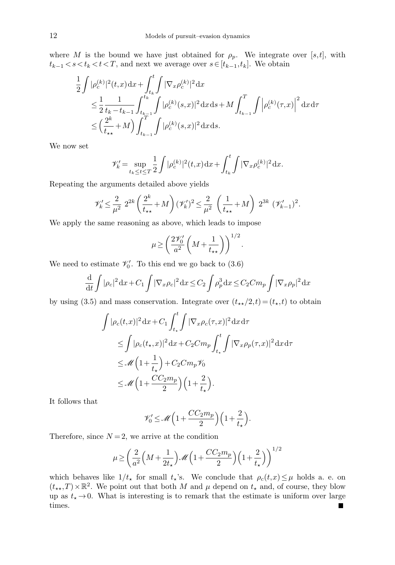where M is the bound we have just obtained for  $\rho_p$ . We integrate over [s,t], with  $t_{k-1} < s < t_k < t < T$ , and next we average over  $s \in [t_{k-1}, t_k]$ . We obtain

$$
\frac{1}{2} \int |\rho_c^{(k)}|^2 (t, x) dx + \int_{t_k}^t \int |\nabla_x \rho_c^{(k)}|^2 dx \n\leq \frac{1}{2} \frac{1}{t_k - t_{k-1}} \int_{t_{k-1}}^{t_k} \int |\rho_c^{(k)}(s, x)|^2 dx ds + M \int_{t_{k-1}}^T \int |\rho_c^{(k)}(\tau, x)|^2 dx d\tau \n\leq \left(\frac{2^k}{t_{\star\star}} + M\right) \int_{t_{k-1}}^T \int |\rho_c^{(k)}(s, x)|^2 dx ds.
$$

We now set

$$
\mathscr{V}'_k = \sup_{t_k \le t \le T} \frac{1}{2} \int |\rho_c^{(k)}|^2(t, x) \, dx + \int_{t_k}^t \int |\nabla_x \rho_c^{(k)}|^2 \, dx.
$$

Repeating the arguments detailed above yields

$$
\mathscr{V}'_k \leq \frac{2}{\mu^2} 2^{2k} \left( \frac{2^k}{t_{\star\star}} + M \right) (\mathscr{V}'_k)^2 \leq \frac{2}{\mu^2} \left( \frac{1}{t_{\star\star}} + M \right) 2^{3k} (\mathscr{V}'_{k-1})^2.
$$

We apply the same reasoning as above, which leads to impose

$$
\mu \ge \left(\frac{2\mathscr{V}_0'}{a^2}\left(M + \frac{1}{t_{\star\star}}\right)\right)^{1/2}.
$$

We need to estimate  $\mathcal{V}'_0$ . To this end we go back to (3.6)

$$
\frac{\mathrm{d}}{\mathrm{d}t} \int |\rho_c|^2 \, \mathrm{d}x + C_1 \int |\nabla_x \rho_c|^2 \, \mathrm{d}x \le C_2 \int \rho_p^3 \, \mathrm{d}x \le C_2 C m_p \int |\nabla_x \rho_p|^2 \, \mathrm{d}x
$$

by using (3.5) and mass conservation. Integrate over  $(t_{**}/2,t) = (t_*,t)$  to obtain

$$
\int |\rho_c(t,x)|^2 dx + C_1 \int_{t_{\star}}^t \int |\nabla_x \rho_c(\tau,x)|^2 dx d\tau
$$
  
\n
$$
\leq \int |\rho_c(t_{\star},x)|^2 dx + C_2 C m_p \int_{t_{\star}}^t \int |\nabla_x \rho_p(\tau,x)|^2 dx d\tau
$$
  
\n
$$
\leq \mathcal{M} \left(1 + \frac{1}{t_{\star}}\right) + C_2 C m_p \mathcal{V}_0
$$
  
\n
$$
\leq \mathcal{M} \left(1 + \frac{C C_2 m_p}{2}\right) \left(1 + \frac{2}{t_{\star}}\right).
$$

It follows that

$$
\mathscr{V}_0'\leq\mathscr{M}\Big(1+\frac{CC_2m_p}{2}\Big)\Big(1+\frac{2}{t_\star}\Big).
$$

Therefore, since  $N = 2$ , we arrive at the condition

$$
\mu \ge \left(\frac{2}{a^2}\left(M + \frac{1}{2t_\star}\right)\mathscr{M}\left(1 + \frac{CC_2m_p}{2}\right)\left(1 + \frac{2}{t_\star}\right)\right)^{1/2}
$$

which behaves like  $1/t_{\star}$  for small  $t_{\star}$ 's. We conclude that  $\rho_c(t,x) \leq \mu$  holds a. e. on  $(t_{\star\star}, T) \times \mathbb{R}^2$ . We point out that both M and  $\mu$  depend on  $t_{\star}$  and, of course, they blow up as  $t_{\star} \rightarrow 0$ . What is interesting is to remark that the estimate is uniform over large times. $\blacksquare$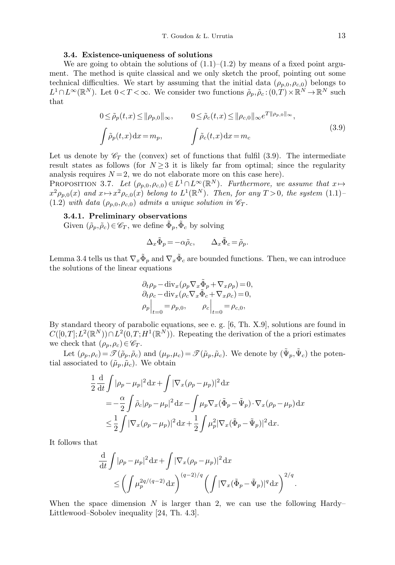## 3.4. Existence-uniqueness of solutions

We are going to obtain the solutions of  $(1.1)$ – $(1.2)$  by means of a fixed point argument. The method is quite classical and we only sketch the proof, pointing out some technical difficulties. We start by assuming that the initial data  $(\rho_{p,0},\rho_{c,0})$  belongs to  $L^1 \cap L^\infty(\mathbb{R}^N)$ . Let  $0 < T < \infty$ . We consider two functions  $\tilde{\rho}_p, \tilde{\rho}_c : (0,T) \times \mathbb{R}^N \to \mathbb{R}^N$  such that

$$
0 \le \tilde{\rho}_p(t,x) \le ||\rho_{p,0}||_{\infty}, \qquad 0 \le \tilde{\rho}_c(t,x) \le ||\rho_{c,0}||_{\infty} e^{T||\rho_{p,0}||_{\infty}},
$$
  

$$
\int \tilde{\rho}_p(t,x) dx = m_p, \qquad \int \tilde{\rho}_c(t,x) dx = m_c
$$
\n(3.9)

Let us denote by  $\mathscr{C}_T$  the (convex) set of functions that fulfil (3.9). The intermediate result states as follows (for  $N \geq 3$  it is likely far from optimal; since the regularity analysis requires  $N = 2$ , we do not elaborate more on this case here).

PROPOSITION 3.7. Let  $(\rho_{p,0}, \rho_{c,0}) \in L^1 \cap L^{\infty}(\mathbb{R}^N)$ . Furthermore, we assume that  $x \mapsto$  $x^2 \rho_{p,0}(x)$  and  $x \mapsto x^2 \rho_{c,0}(x)$  belong to  $L^1(\mathbb{R}^N)$ . Then, for any  $T > 0$ , the system  $(1.1)$ -(1.2) with data  $(\rho_{p,0}, \rho_{c,0})$  admits a unique solution in  $\mathscr{C}_T$ .

### 3.4.1. Preliminary observations

Given  $(\tilde{\rho}_p, \tilde{\rho}_c) \in \mathscr{C}_T$ , we define  $\tilde{\Phi}_p, \tilde{\Phi}_c$  by solving

$$
\Delta_x \tilde{\Phi}_p = -\alpha \tilde{\rho}_c, \qquad \Delta_x \tilde{\Phi}_c = \tilde{\rho}_p.
$$

Lemma 3.4 tells us that  $\nabla_x \tilde{\Phi}_p$  and  $\nabla_x \tilde{\Phi}_c$  are bounded functions. Then, we can introduce the solutions of the linear equations

$$
\partial_t \rho_p - \text{div}_x (\rho_p \nabla_x \tilde{\Phi}_p + \nabla_x \rho_p) = 0,
$$
  
\n
$$
\partial_t \rho_c - \text{div}_x (\rho_c \nabla_x \tilde{\Phi}_c + \nabla_x \rho_c) = 0,
$$
  
\n
$$
\rho_p \Big|_{t=0} = \rho_{p,0}, \qquad \rho_c \Big|_{t=0} = \rho_{c,0},
$$

By standard theory of parabolic equations, see e. g. [6, Th. X.9], solutions are found in  $C([0,T];L^2(\mathbb{R}^N)) \cap L^2(0,T;H^1(\mathbb{R}^N))$ . Repeating the derivation of the a priori estimates we check that  $(\rho_p, \rho_c) \in \mathscr{C}_T$ .

Let  $(\rho_p, \rho_c) = \mathscr{T}(\tilde{\rho}_p, \tilde{\rho}_c)$  and  $(\mu_p, \mu_c) = \mathscr{T}(\tilde{\mu}_p, \tilde{\mu}_c)$ . We denote by  $(\tilde{\Psi}_p, \tilde{\Psi}_c)$  the potential associated to  $(\tilde{\mu}_p, \tilde{\mu}_c)$ . We obtain

$$
\frac{1}{2} \frac{d}{dt} \int |\rho_p - \mu_p|^2 dx + \int |\nabla_x (\rho_p - \mu_p)|^2 dx
$$
  
= 
$$
-\frac{\alpha}{2} \int \tilde{\rho}_c |\rho_p - \mu_p|^2 dx - \int \mu_p \nabla_x (\tilde{\Phi}_p - \tilde{\Psi}_p) \cdot \nabla_x (\rho_p - \mu_p) dx
$$
  

$$
\leq \frac{1}{2} \int |\nabla_x (\rho_p - \mu_p)|^2 dx + \frac{1}{2} \int \mu_p^2 |\nabla_x (\tilde{\Phi}_p - \tilde{\Psi}_p)|^2 dx.
$$

It follows that

$$
\frac{\mathrm{d}}{\mathrm{d}t} \int |\rho_p - \mu_p|^2 \mathrm{d}x + \int |\nabla_x (\rho_p - \mu_p)|^2 \mathrm{d}x \n\leq \left( \int \mu_p^{2q/(q-2)} \mathrm{d}x \right)^{(q-2)/q} \left( \int |\nabla_x (\tilde{\Phi}_p - \tilde{\Psi}_p)|^q \mathrm{d}x \right)^{2/q}.
$$

When the space dimension N is larger than 2, we can use the following Hardy– Littlewood–Sobolev inequality [24, Th. 4.3].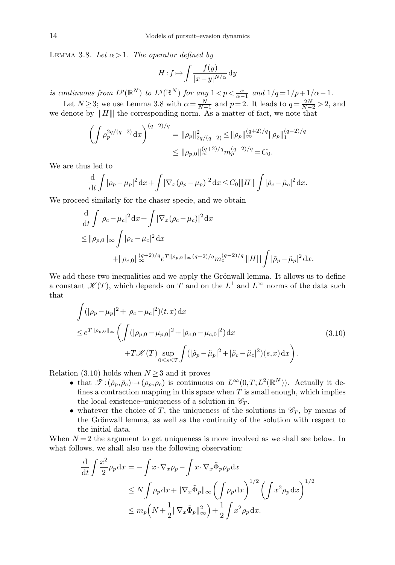LEMMA 3.8. Let  $\alpha > 1$ . The operator defined by

$$
H: f \mapsto \int \frac{f(y)}{|x - y|^{N/\alpha}} \, \mathrm{d}y
$$

is continuous from  $L^p(\mathbb{R}^N)$  to  $L^q(\mathbb{R}^N)$  for any  $1 < p < \frac{\alpha}{\alpha-1}$  and  $1/q = 1/p + 1/\alpha - 1$ .

Let  $N \ge 3$ ; we use Lemma 3.8 with  $\alpha = \frac{N}{N-1}$  and  $p=2$ . It leads to  $q = \frac{2N}{N-2} > 2$ , and we denote by  $|||H|||$  the corresponding norm. As a matter of fact, we note that

$$
\left(\int \rho_p^{2q/(q-2)} dx\right)^{(q-2)/q} = \|\rho_p\|_{2q/(q-2)}^2 \le \|\rho_p\|_{\infty}^{(q+2)/q} \|\rho_p\|_1^{(q-2)/q}
$$

$$
\le \|\rho_{p,0}\|_{\infty}^{(q+2)/q} m_p^{(q-2)/q} = C_0.
$$

We are thus led to

$$
\frac{\mathrm{d}}{\mathrm{d}t} \int |\rho_p - \mu_p|^2 \, \mathrm{d}x + \int |\nabla_x (\rho_p - \mu_p)|^2 \, \mathrm{d}x \le C_0 |||H|| ||\int |\tilde{\rho}_c - \tilde{\mu}_c|^2 \, \mathrm{d}x.
$$

We proceed similarly for the chaser specie, and we obtain

$$
\frac{d}{dt} \int |\rho_c - \mu_c|^2 dx + \int |\nabla_x (\rho_c - \mu_c)|^2 dx
$$
\n
$$
\leq ||\rho_{p,0}||_{\infty} \int |\rho_c - \mu_c|^2 dx
$$
\n
$$
+ ||\rho_{c,0}||_{\infty}^{(q+2)/q} e^{T||\rho_{p,0}||_{\infty} (q+2)/q} m_c^{(q-2)/q} |||H|| || \int |\tilde{\rho}_p - \tilde{\mu}_p|^2 dx.
$$

We add these two inequalities and we apply the Grönwall lemma. It allows us to define a constant  $\mathscr{K}(T)$ , which depends on T and on the  $L^1$  and  $L^{\infty}$  norms of the data such that

$$
\int (|\rho_p - \mu_p|^2 + |\rho_c - \mu_c|^2)(t, x) dx
$$
\n
$$
\leq e^{T || \rho_{p,0} ||_{\infty}} \left( \int (|\rho_{p,0} - \mu_{p,0}|^2 + |\rho_{c,0} - \mu_{c,0}|^2) dx \right)
$$
\n
$$
+ T \mathcal{K}(T) \sup_{0 \leq s \leq T} \int (|\tilde{\rho}_p - \tilde{\mu}_p|^2 + |\tilde{\rho}_c - \tilde{\mu}_c|^2)(s, x) dx \right).
$$
\n(3.10)

Relation (3.10) holds when  $N \geq 3$  and it proves

- that  $\mathscr{T}:(\tilde{\rho}_p, \tilde{\rho}_c) \mapsto (\rho_p, \rho_c)$  is continuous on  $L^{\infty}(0,T; L^2(\mathbb{R}^N))$ . Actually it defines a contraction mapping in this space when  $T$  is small enough, which implies the local existence–uniqueness of a solution in  $\mathscr{C}_T$ .
- whatever the choice of T, the uniqueness of the solutions in  $\mathcal{C}_T$ , by means of the Grönwall lemma, as well as the continuity of the solution with respect to the initial data.

When  $N = 2$  the argument to get uniqueness is more involved as we shall see below. In what follows, we shall also use the following observation:

$$
\frac{\mathrm{d}}{\mathrm{d}t} \int \frac{x^2}{2} \rho_p \, \mathrm{d}x = -\int x \cdot \nabla_x \rho_p - \int x \cdot \nabla_x \tilde{\Phi}_p \rho_p \, \mathrm{d}x \n\le N \int \rho_p \, \mathrm{d}x + \|\nabla_x \tilde{\Phi}_p\|_{\infty} \left(\int \rho_p \, \mathrm{d}x\right)^{1/2} \left(\int x^2 \rho_p \, \mathrm{d}x\right)^{1/2} \n\le m_p \left(N + \frac{1}{2} \|\nabla_x \tilde{\Phi}_p\|_{\infty}^2\right) + \frac{1}{2} \int x^2 \rho_p \, \mathrm{d}x.
$$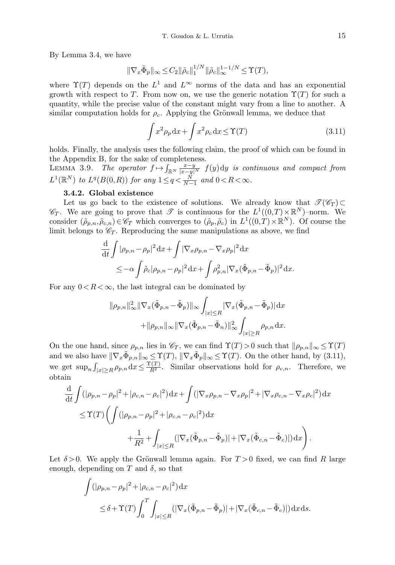By Lemma 3.4, we have

$$
\|\nabla_x \tilde{\Phi}_p\|_{\infty} \le C_2 \|\tilde{\rho}_c\|_1^{1/N} \|\tilde{\rho}_c\|_{\infty}^{1-1/N} \le \Upsilon(T),
$$

where  $\Upsilon(T)$  depends on the  $L^1$  and  $L^{\infty}$  norms of the data and has an exponential growth with respect to T. From now on, we use the generic notation  $\Upsilon(T)$  for such a quantity, while the precise value of the constant might vary from a line to another. A similar computation holds for  $\rho_c$ . Applying the Grönwall lemma, we deduce that

$$
\int x^2 \rho_p dx + \int x^2 \rho_c dx \le \Upsilon(T)
$$
\n(3.11)

holds. Finally, the analysis uses the following claim, the proof of which can be found in the Appendix B, for the sake of completeness.

LEMMA 3.9. The operator  $f \mapsto \int_{\mathbb{R}^N} \frac{x-y}{|x-y|^N} f(y) dy$  is continuous and compact from  $L^1(\mathbb{R}^N)$  to  $L^q(B(0,R))$  for any  $1 \leq q < \frac{N}{N-1}$  and  $0 < R < \infty$ .

## 3.4.2. Global existence

Let us go back to the existence of solutions. We already know that  $\mathcal{T}(\mathscr{C}_T) \subset$  $\mathscr{C}_T$ . We are going to prove that  $\mathscr{T}$  is continuous for the  $L^1((0,T)\times\mathbb{R}^N)$ -norm. We consider  $(\tilde{\rho}_{p,n}, \tilde{\rho}_{c,n}) \in \mathscr{C}_T$  which converges to  $(\tilde{\rho}_p, \tilde{\rho}_c)$  in  $L^1((0,T) \times \mathbb{R}^N)$ . Of course the limit belongs to  $\mathcal{C}_T$ . Reproducing the same manipulations as above, we find

$$
\frac{\mathrm{d}}{\mathrm{d}t} \int |\rho_{p,n} - \rho_p|^2 \mathrm{d}x + \int |\nabla_x \rho_{p,n} - \nabla_x \rho_p|^2 \mathrm{d}x
$$
\n
$$
\leq -\alpha \int \tilde{\rho}_c |\rho_{p,n} - \rho_p|^2 \mathrm{d}x + \int \rho_{p,n}^2 |\nabla_x (\tilde{\Phi}_{p,n} - \tilde{\Phi}_p)|^2 \mathrm{d}x.
$$

For any  $0 < R < \infty$ , the last integral can be dominated by

$$
\|\rho_{p,n}\|_{\infty}^2 \|\nabla_x(\tilde{\Phi}_{p,n}-\tilde{\Phi}_p)\|_{\infty} \int_{|x|\leq R} |\nabla_x(\tilde{\Phi}_{p,n}-\tilde{\Phi}_p)| dx \n+\|\rho_{p,n}\|_{\infty} \|\nabla_x(\tilde{\Phi}_{p,n}-\tilde{\Phi}_n)\|_{\infty}^2 \int_{|x|\geq R} \rho_{p,n} dx.
$$

On the one hand, since  $\rho_{p,n}$  lies in  $\mathscr{C}_T$ , we can find  $\Upsilon(T)>0$  such that  $\|\rho_{p,n}\|_{\infty}\leq \Upsilon(T)$ and we also have  $\|\nabla_x \tilde{\Phi}_{p,n}\|_{\infty} \leq \Upsilon(T)$ ,  $\|\nabla_x \tilde{\Phi}_p\|_{\infty} \leq \Upsilon(T)$ . On the other hand, by (3.11), we get  $\sup_n \int_{|x| \ge R} \rho_{p,n} dx \le \frac{\Upsilon(T)}{R^2}$ . Similar observations hold for  $\rho_{c,n}$ . Therefore, we obtain

$$
\frac{\mathrm{d}}{\mathrm{d}t} \int (|\rho_{p,n} - \rho_p|^2 + |\rho_{c,n} - \rho_c|^2) \mathrm{d}x + \int (|\nabla_x \rho_{p,n} - \nabla_x \rho_p|^2 + |\nabla_x \rho_{c,n} - \nabla_x \rho_c|^2) \mathrm{d}x
$$
\n
$$
\leq \Upsilon(T) \left( \int (|\rho_{p,n} - \rho_p|^2 + |\rho_{c,n} - \rho_c|^2) \mathrm{d}x + \frac{1}{R^2} + \int_{|x| \leq R} (|\nabla_x (\tilde{\Phi}_{p,n} - \tilde{\Phi}_p)| + |\nabla_x (\tilde{\Phi}_{c,n} - \tilde{\Phi}_c)|) \mathrm{d}x \right).
$$

Let  $\delta > 0$ . We apply the Grönwall lemma again. For  $T > 0$  fixed, we can find R large enough, depending on T and  $\delta$ , so that

$$
\int (|\rho_{p,n} - \rho_p|^2 + |\rho_{c,n} - \rho_c|^2) dx
$$
  
\n
$$
\leq \delta + \Upsilon(T) \int_0^T \int_{|x| \leq R} (|\nabla_x (\tilde{\Phi}_{p,n} - \tilde{\Phi}_p)| + |\nabla_x (\tilde{\Phi}_{c,n} - \tilde{\Phi}_c)|) dx ds.
$$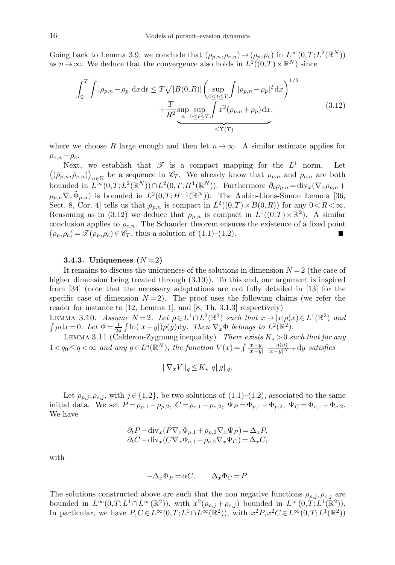Going back to Lemma 3.9, we conclude that  $(\rho_{p,n}, \rho_{c,n}) \to (\rho_p, \rho_c)$  in  $L^{\infty}(0,T; L^2(\mathbb{R}^N))$ as  $n \to \infty$ . We deduce that the convergence also holds in  $L^1((0,T) \times \mathbb{R}^N)$  since

$$
\int_{0}^{T} \int |\rho_{p,n} - \rho_{p}| dx dt \leq T \sqrt{|B(0,R)|} \left( \sup_{0 \leq t \leq T} \int |\rho_{p,n} - \rho_{p}|^{2} dx \right)^{1/2} + \frac{T}{R^{2}} \sup_{n} \sup_{0 \leq t \leq T} \int x^{2} (\rho_{p,n} + \rho_{p}) dx,
$$
\n(3.12)

where we choose R large enough and then let  $n\rightarrow\infty$ . A similar estimate applies for  $\rho_{c,n} - \rho_c$ .

Next, we establish that  $\mathscr T$  is a compact mapping for the  $L^1$  norm. Let  $((\tilde{\rho}_{p,n},\tilde{\rho}_{c,n}))_{n\in\mathbb{N}}$  be a sequence in  $\mathscr{C}_T$ . We already know that  $\rho_{p,n}$  and  $\rho_{c,n}$  are both bounded in  $L^{\infty}(0,T;L^2(\mathbb{R}^N)) \cap L^2(0,T;H^1(\mathbb{R}^N))$ . Furthermore  $\partial_t \rho_{p,n} = \text{div}_x(\nabla_x \rho_{p,n} +$  $\rho_{p,n} \nabla_x \tilde{\Phi}_{p,n}$  is bounded in  $L^2(0,T;H^{-1}(\mathbb{R}^N))$ . The Aubin-Lions-Simon Lemma [36, Sect. 8, Cor. 4 tells us that  $\rho_{p,n}$  is compact in  $L^2((0,T) \times B(0,R))$  for any  $0 < R < \infty$ . Reasoning as in (3.12) we deduce that  $\rho_{p,n}$  is compact in  $L^1((0,T)\times\mathbb{R}^2)$ . A similar conclusion applies to  $\rho_{c,n}$ . The Schauder theorem ensures the existence of a fixed point  $(\rho_p, \rho_c) = \mathcal{F}(\rho_p, \rho_c) \in \mathcal{C}_T$ , thus a solution of  $(1.1)$ – $(1.2)$ .

## 3.4.3. Uniqueness  $(N=2)$

It remains to discuss the uniqueness of the solutions in dimension  $N = 2$  (the case of higher dimension being treated through (3.10)). To this end, our argument is inspired from [34] (note that the necessary adaptations are not fully detailed in [13] for the specific case of dimension  $N=2$ ). The proof uses the following claims (we refer the reader for instance to [12, Lemma 1], and [8, Th. 3.1.3] respectively)

LEMMA 3.10. Assume  $N=2$ . Let  $\rho \in L^1 \cap L^2(\mathbb{R}^2)$  such that  $x \mapsto |x|\rho(x) \in L^1(\mathbb{R}^2)$  and  $\int \rho dx = 0$ . Let  $\Phi = \frac{1}{2\pi} \int \ln(|x-y|) \rho(y) dy$ . Then  $\nabla_x \Phi$  belongs to  $L^2(\mathbb{R}^2)$ .

LEMMA 3.11 (Calderon-Zygmung inequality). There exists  $K_{\star} > 0$  such that for any  $1 < q_0 \leq q < \infty$  and any  $g \in L^q(\mathbb{R}^N)$ , the function  $V(x) = \int \frac{x-y}{|x-y|}$  $\frac{g(y)}{|x-y|^{N-1}}$ dy satisfies

$$
\|\nabla_x V\|_q \le K_\star\ q\|g\|_q.
$$

Let  $\rho_{p,j}, \rho_{c,j}$ , with  $j \in \{1,2\}$ , be two solutions of  $(1.1)$ – $(1.2)$ , associated to the same initial data. We set  $P = \rho_{p,1} - \rho_{p,2}$ ,  $C = \rho_{c,1} - \rho_{c,2}$ ,  $\Psi_P = \Phi_{p,1} - \Phi_{p,2}$ ,  $\Psi_C = \Phi_{c,1} - \Phi_{c,2}$ . We have

$$
\partial_t P - \text{div}_x (P \nabla_x \Phi_{p,1} + \rho_{p,2} \nabla_x \Psi_P) = \Delta_x P,
$$
  

$$
\partial_t C - \text{div}_x (C \nabla_x \Phi_{c,1} + \rho_{c,2} \nabla_x \Psi_C) = \Delta_x C,
$$

with

$$
-\Delta_x \Phi_P = \alpha C, \qquad \Delta_x \Phi_C = P.
$$

The solutions constructed above are such that the non negative functions  $\rho_{p,j}, \rho_{c,j}$  are bounded in  $L^{\infty}(0,T;L^{1}\cap L^{\infty}(\mathbb{R}^{2}))$ , with  $x^{2}(\rho_{p,j}+\rho_{c,j})$  bounded in  $L^{\infty}(0,T;L^{1}(\mathbb{R}^{2}))$ . In particular, we have  $P, C \in L^{\infty}(0,T; L^{1} \cap L^{\infty}(\mathbb{R}^{2}))$ , with  $x^{2}P, x^{2}C \in L^{\infty}(0,T; L^{1}(\mathbb{R}^{2}))$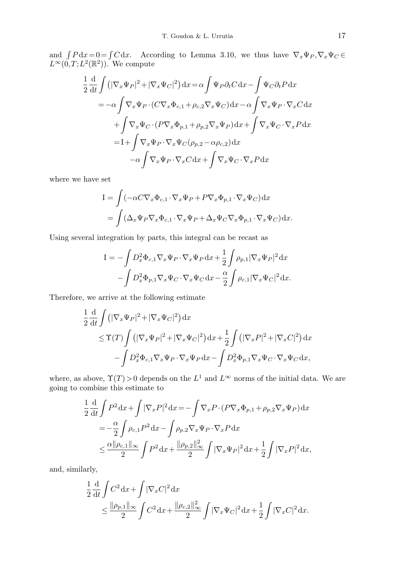and  $\int P dx = 0 = \int C dx$ . According to Lemma 3.10, we thus have  $\nabla_x \Psi_P, \nabla_x \Psi_C \in$  $L^{\infty}(0,T;L^2(\mathbb{R}^2))$ . We compute

$$
\frac{1}{2} \frac{d}{dt} \int \left( |\nabla_x \Psi_P|^2 + |\nabla_x \Psi_C|^2 \right) dx = \alpha \int \Psi_P \partial_t C dx - \int \Psi_C \partial_t P dx
$$
  
\n
$$
= -\alpha \int \nabla_x \Psi_P \cdot (C \nabla_x \Phi_{c,1} + \rho_{c,2} \nabla_x \Psi_C) dx - \alpha \int \nabla_x \Psi_P \cdot \nabla_x C dx
$$
  
\n
$$
+ \int \nabla_x \Psi_C \cdot (P \nabla_x \Phi_{p,1} + \rho_{p,2} \nabla_x \Psi_P) dx + \int \nabla_x \Psi_C \cdot \nabla_x P dx
$$
  
\n
$$
= I + \int \nabla_x \Psi_P \cdot \nabla_x \Psi_C (\rho_{p,2} - \alpha \rho_{c,2}) dx
$$
  
\n
$$
- \alpha \int \nabla_x \Psi_P \cdot \nabla_x C dx + \int \nabla_x \Psi_C \cdot \nabla_x P dx
$$

where we have set

$$
I = \int (-\alpha C \nabla_x \Phi_{c,1} \cdot \nabla_x \Psi_P + P \nabla_x \Phi_{p,1} \cdot \nabla_x \Psi_C) dx
$$
  
= 
$$
\int (\Delta_x \Psi_P \nabla_x \Phi_{c,1} \cdot \nabla_x \Psi_P + \Delta_x \Psi_C \nabla_x \Phi_{p,1} \cdot \nabla_x \Psi_C) dx.
$$

Using several integration by parts, this integral can be recast as

$$
I = -\int D_x^2 \Phi_{c,1} \nabla_x \Psi_P \cdot \nabla_x \Psi_P \,dx + \frac{1}{2} \int \rho_{p,1} |\nabla_x \Psi_P|^2 \,dx - \int D_x^2 \Phi_{p,1} \nabla_x \Psi_C \cdot \nabla_x \Psi_C \,dx - \frac{\alpha}{2} \int \rho_{c,1} |\nabla_x \Psi_C|^2 \,dx.
$$

Therefore, we arrive at the following estimate

$$
\frac{1}{2} \frac{d}{dt} \int \left( |\nabla_x \Psi_P|^2 + |\nabla_x \Psi_C|^2 \right) dx
$$
\n
$$
\leq \Upsilon(T) \int \left( |\nabla_x \Psi_P|^2 + |\nabla_x \Psi_C|^2 \right) dx + \frac{1}{2} \int \left( |\nabla_x P|^2 + |\nabla_x C|^2 \right) dx
$$
\n
$$
- \int D_x^2 \Phi_{c,1} \nabla_x \Psi_P \cdot \nabla_x \Psi_P dx - \int D_x^2 \Phi_{p,1} \nabla_x \Psi_C \cdot \nabla_x \Psi_C dx,
$$

where, as above,  $\Upsilon(T) > 0$  depends on the  $L^1$  and  $L^{\infty}$  norms of the initial data. We are going to combine this estimate to

$$
\frac{1}{2} \frac{d}{dt} \int P^2 dx + \int |\nabla_x P|^2 dx = -\int \nabla_x P \cdot (P \nabla_x \Phi_{p,1} + \rho_{p,2} \nabla_x \Psi_P) dx
$$
  
\n
$$
= -\frac{\alpha}{2} \int \rho_{c,1} P^2 dx - \int \rho_{p,2} \nabla_x \Psi_P \cdot \nabla_x P dx
$$
  
\n
$$
\leq \frac{\alpha ||\rho_{c,1}||_{\infty}}{2} \int P^2 dx + \frac{||\rho_{p,2}||_{\infty}^2}{2} \int |\nabla_x \Psi_P|^2 dx + \frac{1}{2} \int |\nabla_x P|^2 dx,
$$

and, similarly,

$$
\frac{1}{2} \frac{d}{dt} \int C^2 dx + \int |\nabla_x C|^2 dx \n\leq \frac{\|\rho_{p,1}\|_{\infty}}{2} \int C^2 dx + \frac{\|\rho_{c,2}\|_{\infty}^2}{2} \int |\nabla_x \Psi_C|^2 dx + \frac{1}{2} \int |\nabla_x C|^2 dx.
$$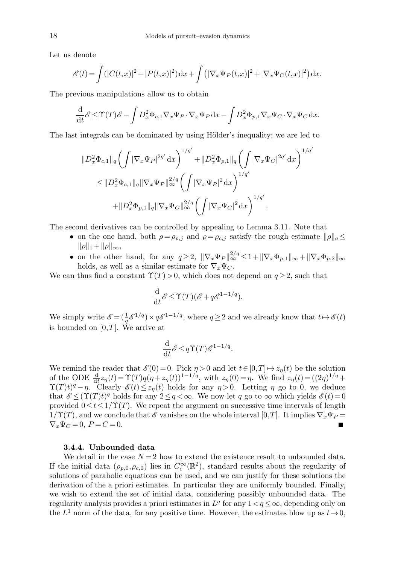Let us denote

$$
\mathscr{E}(t) = \int (|C(t,x)|^2 + |P(t,x)|^2) \, dx + \int (|\nabla_x \Psi_P(t,x)|^2 + |\nabla_x \Psi_C(t,x)|^2) \, dx.
$$

The previous manipulations allow us to obtain

$$
\frac{\mathrm{d}}{\mathrm{d}t}\mathscr{E} \leq \Upsilon(T)\mathscr{E} - \int D_x^2 \Phi_{c,1} \nabla_x \Psi_P \cdot \nabla_x \Psi_P \, \mathrm{d}x - \int D_x^2 \Phi_{p,1} \nabla_x \Psi_C \cdot \nabla_x \Psi_C \, \mathrm{d}x.
$$

The last integrals can be dominated by using Hölder's inequality; we are led to

$$
\|D_x^2 \Phi_{c,1}\|_q \left( \int |\nabla_x \Psi_P|^{2q'} dx \right)^{1/q'} + \|D_x^2 \Phi_{p,1}\|_q \left( \int |\nabla_x \Psi_C|^{2q'} dx \right)^{1/q'}
$$
  

$$
\leq \|D_x^2 \Phi_{c,1}\|_q \|\nabla_x \Psi_P\|_\infty^{2/q} \left( \int |\nabla_x \Psi_P|^2 dx \right)^{1/q'}
$$
  

$$
+ \|D_x^2 \Phi_{p,1}\|_q \|\nabla_x \Psi_C\|_\infty^{2/q} \left( \int |\nabla_x \Psi_C|^2 dx \right)^{1/q'}.
$$

The second derivatives can be controlled by appealing to Lemma 3.11. Note that

- on the one hand, both  $\rho = \rho_{p,j}$  and  $\rho = \rho_{c,j}$  satisfy the rough estimate  $\|\rho\|_q \leq$  $\|\rho\|_1 + \|\rho\|_{\infty},$
- on the other hand, for any  $q \ge 2$ ,  $\|\nabla_x \Psi_P\|_{\infty}^{2/q} \le 1 + \|\nabla_x \Phi_{p,1}\|_{\infty} + \|\nabla_x \Phi_{p,2}\|_{\infty}$ holds, as well as a similar estimate for  $\nabla_x \Psi_C$ .

We can thus find a constant  $\Upsilon(T)>0$ , which does not depend on  $q\geq 2$ , such that

$$
\frac{\mathrm{d}}{\mathrm{d}t} \mathscr{E} \leq \Upsilon(T) (\mathscr{E} + q \mathscr{E}^{1-1/q}).
$$

We simply write  $\mathscr{E} = (\frac{1}{q} \mathscr{E}^{1/q}) \times q \mathscr{E}^{1-1/q}$ , where  $q \ge 2$  and we already know that  $t \mapsto \mathscr{E}(t)$ is bounded on  $[0,T]$ . We arrive at

$$
\frac{\mathrm{d}}{\mathrm{d}t} \mathscr{E} \leq q \Upsilon(T) \mathscr{E}^{1-1/q}.
$$

We remind the reader that  $\mathscr{E}(0) = 0$ . Pick  $\eta > 0$  and let  $t \in [0,T] \mapsto z_n(t)$  be the solution of the ODE  $\frac{d}{dt}z_{\eta}(t) = \Upsilon(T)q(\eta + z_{\eta}(t))^{1-1/q}$ , with  $z_{\eta}(0) = \eta$ . We find  $z_{\eta}(t) = ((2\eta)^{1/q} +$  $\Upsilon(T)t)^{q} - \eta$ . Clearly  $\mathscr{E}(t) \leq z_{\eta}(t)$  holds for any  $\eta > 0$ . Letting  $\eta$  go to 0, we deduce that  $\mathscr{E} \leq (\Upsilon(T)t)^q$  holds for any  $2 \leq q < \infty$ . We now let q go to  $\infty$  which yields  $\mathscr{E}(t) = 0$ provided  $0 \le t \le 1/\Upsilon(T)$ . We repeat the argument on successive time intervals of length  $1/\Upsilon(T)$ , and we conclude that E vanishes on the whole interval  $[0,T]$ . It implies  $\nabla_x \Psi_P =$  $\nabla_x \Psi_C = 0, P = C = 0.$ 

## 3.4.4. Unbounded data

We detail in the case  $N = 2$  how to extend the existence result to unbounded data. If the initial data  $(\rho_{p,0}, \rho_{c,0})$  lies in  $C_c^{\infty}(\mathbb{R}^2)$ , standard results about the regularity of solutions of parabolic equations can be used, and we can justify for these solutions the derivation of the a priori estimates. In particular they are uniformly bounded. Finally, we wish to extend the set of initial data, considering possibly unbounded data. The regularity analysis provides a priori estimates in  $L^q$  for any  $1 < q \leq \infty$ , depending only on the  $L^1$  norm of the data, for any positive time. However, the estimates blow up as  $t\to 0$ ,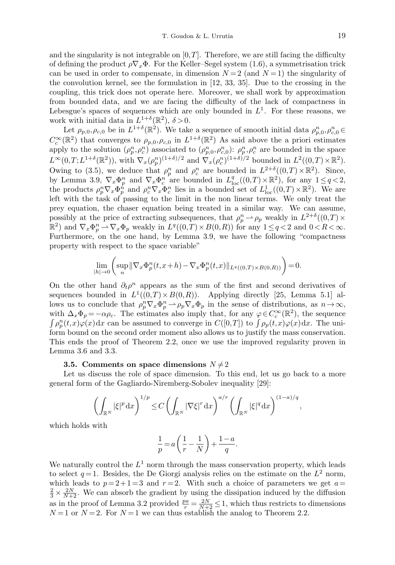and the singularity is not integrable on  $[0, T]$ . Therefore, we are still facing the difficulty of defining the product  $\rho \nabla_x \Phi$ . For the Keller–Segel system (1.6), a symmetrisation trick can be used in order to compensate, in dimension  $N = 2$  (and  $N = 1$ ) the singularity of the convolution kernel, see the formulation in [12, 33, 35]. Due to the crossing in the coupling, this trick does not operate here. Moreover, we shall work by approximation from bounded data, and we are facing the difficulty of the lack of compactness in Lebesgue's spaces of sequences which are only bounded in  $L^1$ . For these reasons, we work with initial data in  $L^{1+\delta}(\mathbb{R}^2)$ ,  $\delta > 0$ .

Let  $\rho_{p,0}, \rho_{c,0}$  be in  $L^{1+\delta}(\mathbb{R}^2)$ . We take a sequence of smooth initial data  $\rho_{p,0}^n, \rho_{c,0}^n \in$  $C_c^{\infty}(\mathbb{R}^2)$  that converges to  $\rho_{p,0}, \rho_{c,0}$  in  $L^{1+\delta}(\mathbb{R}^2)$  As said above the a priori estimates apply to the solution  $(\rho_p^n, \rho_c^n)$  associated to  $(\rho_{p,0}^n, \rho_{c,0}^n)$ :  $\rho_p^n, \rho_c^n$  are bounded in the space  $L^{\infty}(0,T;L^{1+\delta}(\mathbb{R}^2))$ , with  $\nabla_x(\rho_p^n)^{(1+\delta)/2}$  and  $\hat{\nabla}_x(\rho_c^n)^{(1+\delta)/2}$  bounded in  $L^2((0,T)\times\mathbb{R}^2)$ . Owing to (3.5), we deduce that  $\rho_p^n$  and  $\rho_c^n$  are bounded in  $L^{2+\delta}((0,T)\times\mathbb{R}^2)$ . Since, by Lemma 3.9,  $\nabla_x \Phi_p^n$  and  $\nabla_x \Phi_c^n$  are bounded in  $L^q_{loc}((0,T)\times \mathbb{R}^2)$ , for any  $1\leq q<2$ , the products  $\rho_p^n \nabla_x \Phi_p^n$  and  $\rho_c^n \nabla_x \Phi_c^n$  lies in a bounded set of  $L^1_{loc}((0,T)\times \mathbb{R}^2)$ . We are left with the task of passing to the limit in the non linear terms. We only treat the prey equation, the chaser equation being treated in a similar way. We can assume, possibly at the price of extracting subsequences, that  $\rho_p^n \to \rho_p$  weakly in  $L^{2+\delta}((0,T) \times$  $\mathbb{R}^2$  and  $\nabla_x \Phi_p^n \rightharpoonup \nabla_x \Phi_p$  weakly in  $L^q((0,T) \times B(0,R))$  for any  $1 \leq q < 2$  and  $0 < R < \infty$ . Furthermore, on the one hand, by Lemma 3.9, we have the following "compactness property with respect to the space variable"

$$
\lim_{|h| \to 0} \left( \sup_n \|\nabla_x \Phi_p^n(t, x + h) - \nabla_x \Phi_p^n(t, x)\|_{L^q((0, T) \times B(0, R))} \right) = 0.
$$

On the other hand  $\partial_t \rho^n$  appears as the sum of the first and second derivatives of sequences bounded in  $L^1((0,T) \times B(0,R))$ . Applying directly [25, Lemma 5.1] allows us to conclude that  $\rho_p^n \nabla_x \Phi_p^n \to \rho_p \nabla_x \Phi_p$  in the sense of distributions, as  $n \to \infty$ , with  $\Delta_x \Phi_p = -\alpha \rho_c$ . The estimates also imply that, for any  $\varphi \in C_c^{\infty}(\mathbb{R}^2)$ , the sequence  $\int \rho_p^n(t,x)\varphi(x)dx$  can be assumed to converge in  $C([0,T])$  to  $\int \rho_p(t,x)\varphi(x)dx$ . The uniform bound on the second order moment also allows us to justify the mass conservation. This ends the proof of Theorem 2.2, once we use the improved regularity proven in Lemma 3.6 and 3.3.

### 3.5. Comments on space dimensions  $N \neq 2$

Let us discuss the role of space dimension. To this end, let us go back to a more general form of the Gagliardo-Niremberg-Sobolev inequality [29]:

$$
\left(\int_{\mathbb{R}^N} |\xi|^p \, \mathrm{d}x\right)^{1/p} \le C \left(\int_{\mathbb{R}^N} |\nabla \xi|^r \, \mathrm{d}x\right)^{a/r} \left(\int_{\mathbb{R}^N} |\xi|^q \, \mathrm{d}x\right)^{(1-a)/q},
$$

which holds with

$$
\frac{1}{p} = a\left(\frac{1}{r} - \frac{1}{N}\right) + \frac{1-a}{q}.
$$

We naturally control the  $L^1$  norm through the mass conservation property, which leads to select  $q=1$ . Besides, the De Giorgi analysis relies on the estimate on the  $L^2$  norm, which leads to  $p=2+1=3$  and  $r=2$ . With such a choice of parameters we get  $a=$  $\frac{2}{3} \times \frac{2N}{N+2}$ . We can absorb the gradient by using the dissipation induced by the diffusion as in the proof of Lemma 3.2 provided  $\frac{pa}{r} = \frac{2N}{N+2} \le 1$ , which thus restricts to dimensions  $N=1$  or  $N=2$ . For  $N=1$  we can thus establish the analog to Theorem 2.2.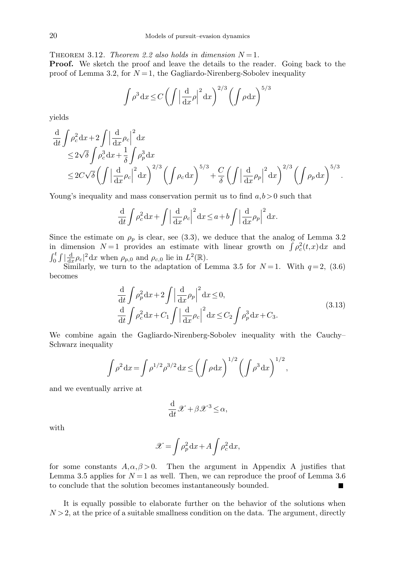THEOREM 3.12. Theorem 2.2 also holds in dimension  $N=1$ .

Proof. We sketch the proof and leave the details to the reader. Going back to the proof of Lemma 3.2, for  $N=1$ , the Gagliardo-Nirenberg-Sobolev inequality

$$
\int \rho^3 dx \le C \left( \int \left| \frac{d}{dx} \rho \right|^2 dx \right)^{2/3} \left( \int \rho dx \right)^{5/3}
$$

yields

$$
\frac{\mathrm{d}}{\mathrm{d}t} \int \rho_c^2 \mathrm{d}x + 2 \int \left| \frac{\mathrm{d}}{\mathrm{d}x} \rho_c \right|^2 \mathrm{d}x \n\leq 2\sqrt{\delta} \int \rho_c^3 \mathrm{d}x + \frac{1}{\delta} \int \rho_p^3 \mathrm{d}x \n\leq 2C\sqrt{\delta} \left( \int \left| \frac{\mathrm{d}}{\mathrm{d}x} \rho_c \right|^2 \mathrm{d}x \right)^{2/3} \left( \int \rho_c \mathrm{d}x \right)^{5/3} + \frac{C}{\delta} \left( \int \left| \frac{\mathrm{d}}{\mathrm{d}x} \rho_p \right|^2 \mathrm{d}x \right)^{2/3} \left( \int \rho_p \mathrm{d}x \right)^{5/3}.
$$

Young's inequality and mass conservation permit us to find  $a,b>0$  such that

$$
\frac{\mathrm{d}}{\mathrm{d}t} \int \rho_c^2 \, \mathrm{d}x + \int \left| \frac{\mathrm{d}}{\mathrm{d}x} \rho_c \right|^2 \mathrm{d}x \le a + b \int \left| \frac{\mathrm{d}}{\mathrm{d}x} \rho_p \right|^2 \mathrm{d}x.
$$

Since the estimate on  $\rho_p$  is clear, see (3.3), we deduce that the analog of Lemma 3.2 in dimension  $N=1$  provides an estimate with linear growth on  $\int \rho_c^2(t,x) dx$  and  $\int_0^t \int |\frac{d}{dx} \rho_c|^2 dx$  when  $\rho_{p,0}$  and  $\rho_{c,0}$  lie in  $L^2(\mathbb{R})$ .

Similarly, we turn to the adaptation of Lemma 3.5 for  $N=1$ . With  $q=2$ , (3.6) becomes

$$
\frac{\mathrm{d}}{\mathrm{d}t} \int \rho_p^2 \mathrm{d}x + 2 \int \left| \frac{\mathrm{d}}{\mathrm{d}x} \rho_p \right|^2 \mathrm{d}x \le 0, \n\frac{\mathrm{d}}{\mathrm{d}t} \int \rho_c^2 \mathrm{d}x + C_1 \int \left| \frac{\mathrm{d}}{\mathrm{d}x} \rho_c \right|^2 \mathrm{d}x \le C_2 \int \rho_p^3 \mathrm{d}x + C_3.
$$
\n(3.13)

We combine again the Gagliardo-Nirenberg-Sobolev inequality with the Cauchy– Schwarz inequality

$$
\int \rho^2 dx = \int \rho^{1/2} \rho^{3/2} dx \le \left( \int \rho dx \right)^{1/2} \left( \int \rho^3 dx \right)^{1/2},
$$

and we eventually arrive at

$$
\frac{\mathrm{d}}{\mathrm{d}t}\mathscr{X} + \beta \mathscr{X}^3 \le \alpha,
$$

with

$$
\mathscr{X} = \int \rho_p^2 \, dx + A \int \rho_c^2 \, dx,
$$

for some constants  $A, \alpha, \beta > 0$ . Then the argument in Appendix A justifies that Lemma 3.5 applies for  $N = 1$  as well. Then, we can reproduce the proof of Lemma 3.6 to conclude that the solution becomes instantaneously bounded.

It is equally possible to elaborate further on the behavior of the solutions when  $N > 2$ , at the price of a suitable smallness condition on the data. The argument, directly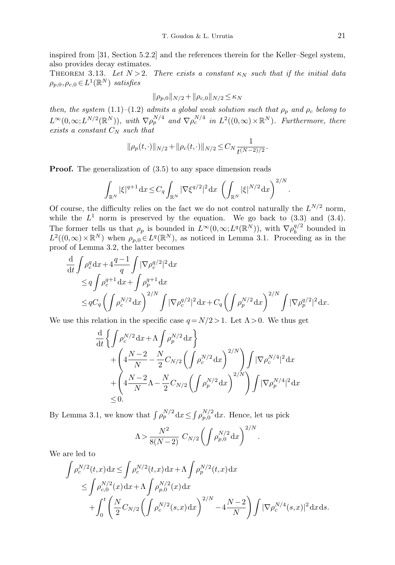inspired from [31, Section 5.2.2] and the references therein for the Keller–Segel system, also provides decay estimates.

THEOREM 3.13. Let  $N > 2$ . There exists a constant  $\kappa_N$  such that if the initial data  $\rho_{p,0}, \rho_{c,0} \in L^1(\mathbb{R}^N)$  satisfies

$$
\|\rho_{p,0}\|_{N/2} + \|\rho_{c,0}\|_{N/2} \le \kappa_N
$$

then, the system (1.1)–(1.2) admits a global weak solution such that  $\rho_p$  and  $\rho_c$  belong to  $L^{\infty}(0,\infty;L^{N/2}(\mathbb{R}^N))$ , with  $\nabla \rho_p^{N/4}$  and  $\nabla \rho_c^{N/4}$  in  $L^2((0,\infty)\times \mathbb{R}^N)$ . Furthermore, there exists a constant  $C_N$  such that

$$
\|\rho_p(t,\cdot)\|_{N/2} + \|\rho_c(t,\cdot)\|_{N/2} \le C_N \frac{1}{t^{(N-2)/2}}.
$$

**Proof.** The generalization of  $(3.5)$  to any space dimension reads

$$
\int_{\mathbb{R}^N} |\xi|^{q+1} dx \le C_q \int_{\mathbb{R}^N} |\nabla \xi^{q/2}|^2 dx \, \left( \int_{\mathbb{R}^N} |\xi|^{N/2} dx \right)^{2/N}.
$$

Of course, the difficulty relies on the fact we do not control naturally the  $L^{N/2}$  norm, while the  $L^1$  norm is preserved by the equation. We go back to (3.3) and (3.4). The former tells us that  $\rho_p$  is bounded in  $L^{\infty}(0,\infty;L^q(\mathbb{R}^N))$ , with  $\nabla\rho_b^{q/2}$  $b^{q/2}$  bounded in  $L^2((0,\infty)\times\mathbb{R}^N)$  when  $\rho_{p,0}\in L^q(\mathbb{R}^N)$ , as noticed in Lemma 3.1. Proceeding as in the proof of Lemma 3.2, the latter becomes

$$
\frac{d}{dt} \int \rho_c^q dx + 4 \frac{q-1}{q} \int |\nabla \rho_c^{q/2}|^2 dx \n\leq q \int \rho_c^{q+1} dx + \int \rho_p^{q+1} dx \n\leq q C_q \left( \int \rho_c^{N/2} dx \right)^{2/N} \int |\nabla \rho_c^{q/2}|^2 dx + C_q \left( \int \rho_p^{N/2} dx \right)^{2/N} \int |\nabla \rho_p^{q/2}|^2 dx.
$$

We use this relation in the specific case  $q = N/2 > 1$ . Let  $\Lambda > 0$ . We thus get

$$
\frac{\mathrm{d}}{\mathrm{d}t} \left\{ \int \rho_c^{N/2} \mathrm{d}x + \Lambda \int \rho_p^{N/2} \mathrm{d}x \right\} \n+ \left( 4 \frac{N-2}{N} - \frac{N}{2} C_{N/2} \left( \int \rho_c^{N/2} \mathrm{d}x \right)^{2/N} \right) \int |\nabla \rho_c^{N/4}|^2 \mathrm{d}x \n+ \left( 4 \frac{N-2}{N} \Lambda - \frac{N}{2} C_{N/2} \left( \int \rho_p^{N/2} \mathrm{d}x \right)^{2/N} \right) \int |\nabla \rho_p^{N/4}|^2 \mathrm{d}x \n\leq 0.
$$

By Lemma 3.1, we know that  $\int \rho_p^{N/2} dx \leq \int \rho_{p,0}^{N/2} dx$ . Hence, let us pick

$$
\Lambda > \frac{N^2}{8(N-2)} C_{N/2} \left( \int \rho_{p,0}^{N/2} dx \right)^{2/N}.
$$

We are led to

$$
\int \rho_c^{N/2}(t,x) dx \le \int \rho_c^{N/2}(t,x) dx + \Lambda \int \rho_p^{N/2}(t,x) dx \n\le \int \rho_{c,0}^{N/2}(x) dx + \Lambda \int \rho_{p,0}^{N/2}(x) dx \n+ \int_0^t \left( \frac{N}{2} C_{N/2} \left( \int \rho_c^{N/2}(s,x) dx \right)^{2/N} - 4 \frac{N-2}{N} \right) \int |\nabla \rho_c^{N/4}(s,x)|^2 dx ds.
$$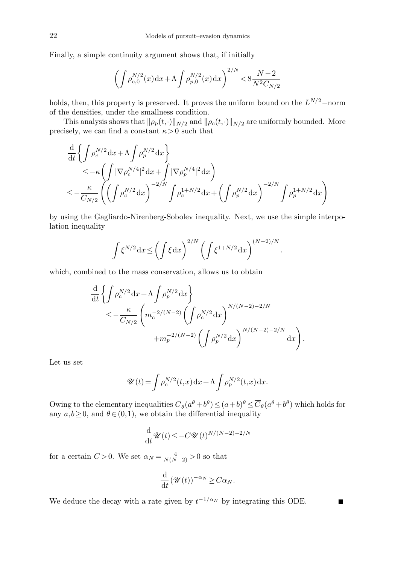Finally, a simple continuity argument shows that, if initially

$$
\left(\int \rho_{c,0}^{N/2}(x) dx + \Lambda \int \rho_{p,0}^{N/2}(x) dx\right)^{2/N} < 8\frac{N-2}{N^2 C_{N/2}}
$$

holds, then, this property is preserved. It proves the uniform bound on the  $L^{N/2}$ -norm of the densities, under the smallness condition.

This analysis shows that  $\|\rho_p(t,\cdot)\|_{N/2}$  and  $\|\rho_c(t,\cdot)\|_{N/2}$  are uniformly bounded. More precisely, we can find a constant  $\kappa > 0$  such that

$$
\frac{\mathrm{d}}{\mathrm{d}t} \left\{ \int \rho_c^{N/2} \mathrm{d}x + \Lambda \int \rho_p^{N/2} \mathrm{d}x \right\} \n\leq -\kappa \left( \int |\nabla \rho_c^{N/4}|^2 \mathrm{d}x + \int |\nabla \rho_p^{N/4}|^2 \mathrm{d}x \right) \n\leq -\frac{\kappa}{C_{N/2}} \left( \left( \int \rho_c^{N/2} \mathrm{d}x \right)^{-2/N} \int \rho_c^{1+N/2} \mathrm{d}x + \left( \int \rho_p^{N/2} \mathrm{d}x \right)^{-2/N} \int \rho_p^{1+N/2} \mathrm{d}x \right)
$$

by using the Gagliardo-Nirenberg-Sobolev inequality. Next, we use the simple interpolation inequality

$$
\int \xi^{N/2} dx \le \left(\int \xi dx\right)^{2/N} \left(\int \xi^{1+N/2} dx\right)^{(N-2)/N}
$$

.

 $\blacksquare$ 

which, combined to the mass conservation, allows us to obtain

$$
\frac{d}{dt} \left\{ \int \rho_c^{N/2} dx + \Lambda \int \rho_p^{N/2} dx \right\} \n\leq -\frac{\kappa}{C_{N/2}} \left( m_c^{-2/(N-2)} \left( \int \rho_c^{N/2} dx \right)^{N/(N-2)-2/N} + m_p^{-2/(N-2)} \left( \int \rho_p^{N/2} dx \right)^{N/(N-2)-2/N} dx \right).
$$

Let us set

$$
\mathscr{U}(t) = \int \rho_c^{N/2}(t,x) dx + \Lambda \int \rho_p^{N/2}(t,x) dx.
$$

Owing to the elementary inequalities  $\underline{C}_{\theta}(a^{\theta}+b^{\theta}) \leq (a+b)^{\theta} \leq \overline{C}_{\theta}(a^{\theta}+b^{\theta})$  which holds for any  $a,b \geq 0$ , and  $\theta \in (0,1)$ , we obtain the differential inequality

$$
\frac{\mathrm{d}}{\mathrm{d}t}\mathscr{U}(t) \le -C\mathscr{U}(t)^{N/(N-2)-2/N}
$$

for a certain  $C > 0$ . We set  $\alpha_N = \frac{4}{N(N-2)} > 0$  so that

$$
\frac{\mathrm{d}}{\mathrm{d}t} \left( \mathscr{U}(t) \right)^{-\alpha_N} \geq C \alpha_N.
$$

We deduce the decay with a rate given by  $t^{-1/\alpha_N}$  by integrating this ODE.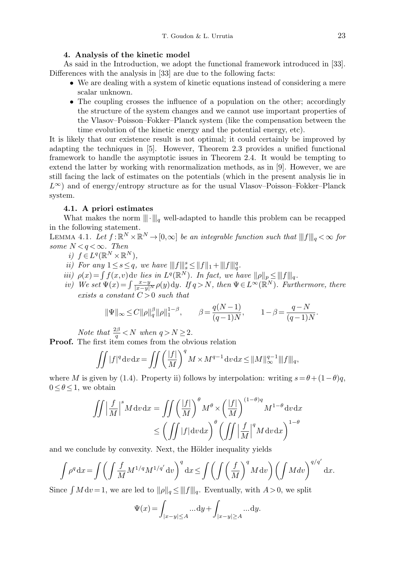## 4. Analysis of the kinetic model

As said in the Introduction, we adopt the functional framework introduced in [33]. Differences with the analysis in [33] are due to the following facts:

- We are dealing with a system of kinetic equations instead of considering a mere scalar unknown.
- The coupling crosses the influence of a population on the other; accordingly the structure of the system changes and we cannot use important properties of the Vlasov–Poisson–Fokker–Planck system (like the compensation between the time evolution of the kinetic energy and the potential energy, etc).

It is likely that our existence result is not optimal; it could certainly be improved by adapting the techniques in [5]. However, Theorem 2.3 provides a unified functional framework to handle the asymptotic issues in Theorem 2.4. It would be tempting to extend the latter by working with renormalization methods, as in [9]. However, we are still facing the lack of estimates on the potentials (which in the present analysis lie in  $L^{\infty}$ ) and of energy/entropy structure as for the usual Vlasov–Poisson–Fokker–Planck system.

### 4.1. A priori estimates

What makes the norm  $\|\cdot\|_q$  well-adapted to handle this problem can be recapped in the following statement.

LEMMA 4.1. Let  $f: \mathbb{R}^N \times \mathbb{R}^N \to [0, \infty]$  be an integrable function such that  $|||f|||_q < \infty$  for some  $N < q < \infty$ . Then

- i)  $f \in L^q(\mathbb{R}^N \times \mathbb{R}^N)$ ,
- ii) For any  $1 \leq s \leq q$ , we have  $|||f|||_{s}^{s} \leq ||f||_{1} + |||f|||_{q}^{q}$ .
- iii)  $\rho(x) = \int f(x, v) dv$  lies in  $L^q(\mathbb{R}^N)$ . In fact, we have  $\|\rho\|_p \leq ||f||_q$ .
- iv) We set  $\Psi(x) = \int \frac{x-y}{|x-y|^N} \rho(y) dy$ . If  $q > N$ , then  $\Psi \in L^{\infty}(\mathbb{R}^N)$ . Furthermore, there exists a constant  $C > 0$  such that

$$
\|\Psi\|_{\infty} \le C \|\rho\|_{q}^{\beta} \|\rho\|_{1}^{1-\beta}, \qquad \beta = \frac{q(N-1)}{(q-1)N}, \qquad 1-\beta = \frac{q-N}{(q-1)N}.
$$

Note that  $\frac{2\beta}{q} < N$  when  $q > N \geq 2$ .

Proof. The first item comes from the obvious relation

$$
\iint |f|^q \mathrm{d}v \mathrm{d}x = \iint \left(\frac{|f|}{M}\right)^q M \times M^{q-1} \mathrm{d}v \mathrm{d}x \le \|M\|_{\infty}^{q-1} \|f\|_{q},
$$

where M is given by (1.4). Property ii) follows by interpolation: writing  $s = \theta + (1-\theta)q$ ,  $0 \leq \theta \leq 1$ , we obtain

$$
\iint \left| \frac{f}{M} \right|^s M dv dx = \iint \left( \frac{|f|}{M} \right)^{\theta} M^{\theta} \times \left( \frac{|f|}{M} \right)^{(1-\theta)q} M^{1-\theta} dv dx
$$
  

$$
\leq \left( \iint |f| dv dx \right)^{\theta} \left( \iint \left| \frac{f}{M} \right|^q M dv dx \right)^{1-\theta}
$$

and we conclude by convexity. Next, the Hölder inequality yields

$$
\int \rho^q dx = \int \left( \int \frac{f}{M} M^{1/q} M^{1/q'} dv \right)^q dx \le \int \left( \int \left( \frac{f}{M} \right)^q M dv \right) \left( \int M dv \right)^{q/q'} dx.
$$

Since  $\int M dv = 1$ , we are led to  $\|\rho\|_q \le \|f\|_q$ . Eventually, with  $A > 0$ , we split

$$
\Psi(x) = \int_{|x-y| \le A} \dots dy + \int_{|x-y| \ge A} \dots dy.
$$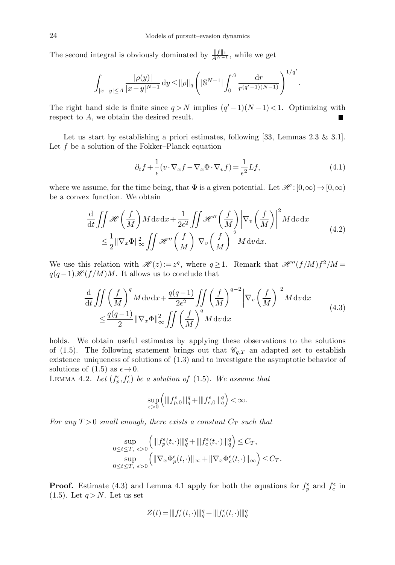The second integral is obviously dominated by  $\frac{\|f\|_1}{A^{N-1}}$ , while we get

$$
\int_{|x-y|\leq A} \frac{|\rho(y)|}{|x-y|^{N-1}} \, \mathrm{d} y \leq ||\rho||_q \left( |\mathbb{S}^{N-1}| \int_0^A \frac{\mathrm{d} r}{r^{(q'-1)(N-1)}} \right)^{1/q'}.
$$

The right hand side is finite since  $q > N$  implies  $(q' - 1)(N - 1) < 1$ . Optimizing with respect to A, we obtain the desired result.

Let us start by establishing a priori estimates, following [33, Lemmas 2.3 & 3.1]. Let  $f$  be a solution of the Fokker–Planck equation

$$
\partial_t f + \frac{1}{\epsilon} (v \cdot \nabla_x f - \nabla_x \Phi \cdot \nabla_v f) = \frac{1}{\epsilon^2} L f,\tag{4.1}
$$

where we assume, for the time being, that  $\Phi$  is a given potential. Let  $\mathscr{H}:[0,\infty)\to[0,\infty)$ be a convex function. We obtain

$$
\frac{\mathrm{d}}{\mathrm{d}t} \iint \mathcal{H}\left(\frac{f}{M}\right) M \,\mathrm{d}v \,\mathrm{d}x + \frac{1}{2\epsilon^2} \iint \mathcal{H}''\left(\frac{f}{M}\right) \left|\nabla_v \left(\frac{f}{M}\right)\right|^2 M \,\mathrm{d}v \,\mathrm{d}x \n\leq \frac{1}{2} \|\nabla_x \Phi\|_{\infty}^2 \iint \mathcal{H}''\left(\frac{f}{M}\right) \left|\nabla_v \left(\frac{f}{M}\right)\right|^2 M \,\mathrm{d}v \,\mathrm{d}x.
$$
\n(4.2)

We use this relation with  $\mathscr{H}(z) := z^q$ , where  $q \geq 1$ . Remark that  $\mathscr{H}''(f/M)f^2/M =$  $q(q-1)H$   $f/M$ )M. It allows us to conclude that

$$
\frac{\mathrm{d}}{\mathrm{d}t} \iint \left(\frac{f}{M}\right)^{q} M \,\mathrm{d}v \,\mathrm{d}x + \frac{q(q-1)}{2\epsilon^{2}} \iint \left(\frac{f}{M}\right)^{q-2} \left|\nabla_{v}\left(\frac{f}{M}\right)\right|^{2} M \,\mathrm{d}v \,\mathrm{d}x
$$
\n
$$
\leq \frac{q(q-1)}{2} \left\|\nabla_{x}\Phi\right\|_{\infty}^{2} \iint \left(\frac{f}{M}\right)^{q} M \,\mathrm{d}v \,\mathrm{d}x
$$
\n(4.3)

holds. We obtain useful estimates by applying these observations to the solutions of (1.5). The following statement brings out that  $\mathcal{C}_{q,T}$  an adapted set to establish existence–uniqueness of solutions of (1.3) and to investigate the asymptotic behavior of solutions of (1.5) as  $\epsilon \rightarrow 0$ .

LEMMA 4.2. Let  $(f_p^{\epsilon}, f_c^{\epsilon})$  be a solution of (1.5). We assume that

$$
\sup_{\epsilon>0}\Big(\||f_{p,0}^{\epsilon}\||_q^q+\||f_{c,0}^{\epsilon}\||_q^q\Big)<\infty.
$$

For any  $T > 0$  small enough, there exists a constant  $C_T$  such that

$$
\sup_{0 \le t \le T, \epsilon > 0} \left( \|f_p^{\epsilon}(t, \cdot)\|_{q}^{q} + \|f_c^{\epsilon}(t, \cdot)\|_{q}^{q} \right) \le C_T,
$$
  
\n
$$
\sup_{0 \le t \le T, \epsilon > 0} \left( \|\nabla_x \Phi_p^{\epsilon}(t, \cdot)\|_{\infty} + \|\nabla_x \Phi_c^{\epsilon}(t, \cdot)\|_{\infty} \right) \le C_T.
$$

**Proof.** Estimate (4.3) and Lemma 4.1 apply for both the equations for  $f_p^{\epsilon}$  and  $f_c^{\epsilon}$  in  $(1.5)$ . Let  $q > N$ . Let us set

$$
Z(t) = |||f_c^{\epsilon}(t, \cdot)|||_q^q + |||f_c^{\epsilon}(t, \cdot)|||_q^q
$$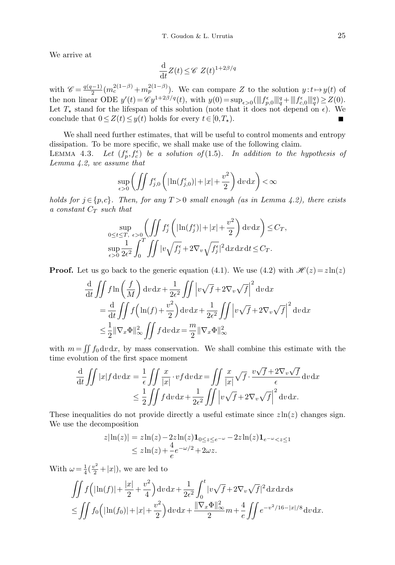We arrive at

$$
\frac{\mathrm{d}}{\mathrm{d}t}Z(t) \leq \mathscr{C} Z(t)^{1+2\beta/q}
$$

with  $\mathscr{C} = \frac{q(q-1)}{2}$  $\frac{(-1)}{2}(m_c^{2(1-\beta)}+m_p^{2(1-\beta)})$ . We can compare Z to the solution  $y:t\mapsto y(t)$  of the non linear ODE  $y'(t) = \mathscr{C} y^{1+2\beta/q}(t)$ , with  $y(0) = \sup_{\epsilon > 0} (\|f_{p,0}^{\epsilon}\|_q^q + \|f_{c,0}^{\epsilon}\|_q^q) \geq Z(0)$ . Let  $T_{\star}$  stand for the lifespan of this solution (note that it does not depend on  $\epsilon$ ). We conclude that  $0 \leq Z(t) \leq y(t)$  holds for every  $t \in [0, T_{\star}).$ 

We shall need further estimates, that will be useful to control moments and entropy dissipation. To be more specific, we shall make use of the following claim.

LEMMA 4.3. Let  $(f_p^{\epsilon}, f_c^{\epsilon})$  be a solution of (1.5). In addition to the hypothesis of Lemma 4.2, we assume that

$$
\sup_{\epsilon>0} \left( \iint f_{j,0}^{\epsilon} \left( |\ln(f_{j,0}^{\epsilon})| + |x| + \frac{v^2}{2} \right) \mathrm{d}v \, \mathrm{d}x \right) < \infty
$$

holds for  $j \in \{p,c\}$ . Then, for any  $T > 0$  small enough (as in Lemma 4.2), there exists a constant  $C_T$  such that

$$
\sup_{0 \le t \le T, \epsilon > 0} \left( \iint f_j^{\epsilon} \left( |\ln(f_j^{\epsilon})| + |x| + \frac{v^2}{2} \right) dv dx \right) \le C_T,
$$
  
\n
$$
\sup_{\epsilon > 0} \frac{1}{2\epsilon^2} \int_0^T \iint |v \sqrt{f_j^{\epsilon}} + 2\nabla_v \sqrt{f_j^{\epsilon}}|^2 dx dx dt \le C_T.
$$

**Proof.** Let us go back to the generic equation (4.1). We use (4.2) with  $\mathcal{H}(z) = z \ln(z)$ 

$$
\frac{d}{dt} \iint f \ln\left(\frac{f}{M}\right) dv dx + \frac{1}{2\epsilon^2} \iint \left| v\sqrt{f} + 2\nabla_v \sqrt{f} \right|^2 dv dx
$$
  
\n
$$
= \frac{d}{dt} \iint f\left(\ln(f) + \frac{v^2}{2}\right) dv dx + \frac{1}{2\epsilon^2} \iint \left| v\sqrt{f} + 2\nabla_v \sqrt{f} \right|^2 dv dx
$$
  
\n
$$
\leq \frac{1}{2} ||\nabla_x \Phi||_{\infty}^2 \iint f dv dx = \frac{m}{2} ||\nabla_x \Phi||_{\infty}^2
$$

with  $m = \iint f_0 dv dx$ , by mass conservation. We shall combine this estimate with the time evolution of the first space moment

$$
\frac{\mathrm{d}}{\mathrm{d}t} \iint |x| f \mathrm{d}v \mathrm{d}x = \frac{1}{\epsilon} \iint \frac{x}{|x|} \cdot v f \mathrm{d}v \mathrm{d}x = \iint \frac{x}{|x|} \sqrt{f} \cdot \frac{v \sqrt{f} + 2 \nabla_v \sqrt{f}}{\epsilon} \mathrm{d}v \mathrm{d}x
$$
\n
$$
\leq \frac{1}{2} \iint f \mathrm{d}v \mathrm{d}x + \frac{1}{2\epsilon^2} \iint \left| v \sqrt{f} + 2 \nabla_v \sqrt{f} \right|^2 \mathrm{d}v \mathrm{d}x.
$$

These inequalities do not provide directly a useful estimate since  $z\ln(z)$  changes sign. We use the decomposition

$$
z|\ln(z)| = z\ln(z) - 2z\ln(z)\mathbf{1}_{0 \le z \le e^{-\omega}} - 2z\ln(z)\mathbf{1}_{e^{-\omega} < z \le 1}
$$
  
 
$$
\le z\ln(z) + \frac{4}{e}e^{-\omega/2} + 2\omega z.
$$

With  $\omega = \frac{1}{4}(\frac{v^2}{2}+|x|)$ , we are led to

$$
\iint f(|\ln(f)| + \frac{|x|}{2} + \frac{v^2}{4}) dv dx + \frac{1}{2\epsilon^2} \int_0^t |v\sqrt{f} + 2\nabla_v \sqrt{f}|^2 dx dx ds
$$
  
\n
$$
\leq \iint f_0(|\ln(f_0)| + |x| + \frac{v^2}{2}) dv dx + \frac{\|\nabla_x \Phi\|_{\infty}^2}{2} m + \frac{4}{e} \iint e^{-v^2/16 - |x|/8} dv dx.
$$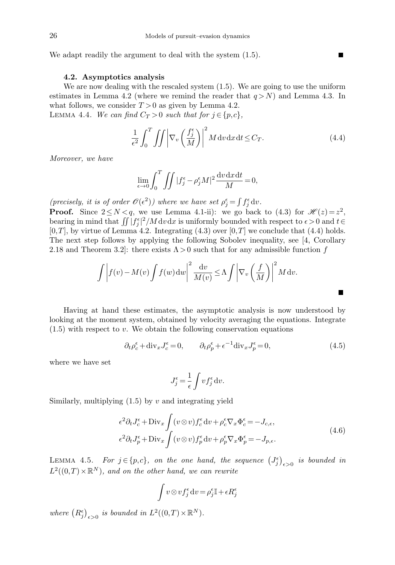We adapt readily the argument to deal with the system  $(1.5)$ .

### 4.2. Asymptotics analysis

We are now dealing with the rescaled system  $(1.5)$ . We are going to use the uniform estimates in Lemma 4.2 (where we remind the reader that  $q > N$ ) and Lemma 4.3. In what follows, we consider  $T > 0$  as given by Lemma 4.2. LEMMA 4.4. We can find  $C_T > 0$  such that for  $j \in \{p, c\},\$ 

$$
\frac{1}{\epsilon^2} \int_0^T \iint \left| \nabla_v \left( \frac{f_j^{\epsilon}}{M} \right) \right|^2 M \, dv \, dx \, dt \le C_T. \tag{4.4}
$$

П

П

Moreover, we have

$$
\lim_{\epsilon \to 0} \int_0^T \iint |f_j^{\epsilon} - \rho_j^{\epsilon} M|^2 \frac{\mathrm{d}v \, \mathrm{d}x \, \mathrm{d}t}{M} = 0,
$$

(precisely, it is of order  $\mathcal{O}(\epsilon^2)$ ) where we have set  $\rho_j^{\epsilon} = \int f_j^{\epsilon} dv$ .

**Proof.** Since  $2 \le N < q$ , we use Lemma 4.1-ii): we go back to (4.3) for  $\mathcal{H}(z) = z^2$ , bearing in mind that  $\iint |f_j^{\epsilon}|^2/M dv dx$  is uniformly bounded with respect to  $\epsilon > 0$  and  $t \in$  $[0,T]$ , by virtue of Lemma 4.2. Integrating (4.3) over  $[0,T]$  we conclude that (4.4) holds. The next step follows by applying the following Sobolev inequality, see [4, Corollary 2.18 and Theorem 3.2]: there exists  $\Lambda > 0$  such that for any admissible function f

$$
\int \left| f(v) - M(v) \int f(w) \, dw \right|^2 \frac{dv}{M(v)} \le \Lambda \int \left| \nabla_v \left( \frac{f}{M} \right) \right|^2 M \, dv.
$$

Having at hand these estimates, the asymptotic analysis is now understood by looking at the moment system, obtained by velocity averaging the equations. Integrate  $(1.5)$  with respect to v. We obtain the following conservation equations

$$
\partial_t \rho_c^{\epsilon} + \text{div}_x J_c^{\epsilon} = 0, \qquad \partial_t \rho_p^{\epsilon} + \epsilon^{-1} \text{div}_x J_p^{\epsilon} = 0,
$$
\n(4.5)

where we have set

$$
J_j^\epsilon = \frac{1}{\epsilon} \int v f_j^\epsilon \, \mathrm{d} v.
$$

Similarly, multiplying  $(1.5)$  by v and integrating yield

$$
\epsilon^2 \partial_t J_c^{\epsilon} + \text{Div}_x \int (v \otimes v) f_c^{\epsilon} dv + \rho_c^{\epsilon} \nabla_x \Phi_c^{\epsilon} = -J_{c,\epsilon},
$$
  

$$
\epsilon^2 \partial_t J_p^{\epsilon} + \text{Div}_x \int (v \otimes v) f_p^{\epsilon} dv + \rho_p^{\epsilon} \nabla_x \Phi_p^{\epsilon} = -J_{p,\epsilon}.
$$
 (4.6)

LEMMA 4.5. For  $j \in \{p,c\}$ , on the one hand, the sequence  $(J_j^{\epsilon})_{\epsilon>0}$  is bounded in  $L^2((0,T)\times\mathbb{R}^N)$ , and on the other hand, we can rewrite

$$
\int v \otimes v f_j^{\epsilon} dv = \rho_j^{\epsilon} \mathbb{I} + \epsilon R_j^{\epsilon}
$$

where  $(R_j^{\epsilon})_{\epsilon>0}$  is bounded in  $L^2((0,T)\times \mathbb{R}^N)$ .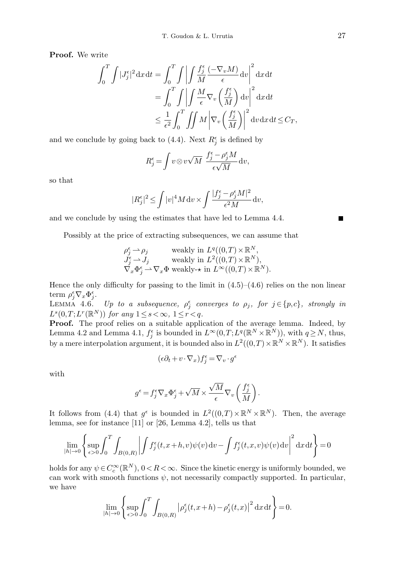Proof. We write

$$
\int_0^T \int |J_j^{\epsilon}|^2 dx dt = \int_0^T \int \left| \int \frac{f_j^{\epsilon}}{M} \frac{(-\nabla_v M)}{\epsilon} dv \right|^2 dx dt
$$
  
= 
$$
\int_0^T \int \left| \int \frac{M}{\epsilon} \nabla_v \left( \frac{f_j^{\epsilon}}{M} \right) dv \right|^2 dx dt
$$
  

$$
\leq \frac{1}{\epsilon^2} \int_0^T \int \int M \left| \nabla_v \left( \frac{f_j^{\epsilon}}{M} \right) \right|^2 dv dx dt \leq C_T,
$$

and we conclude by going back to (4.4). Next  $R_j^{\epsilon}$  is defined by

$$
R_j^\epsilon\!=\!\int v\!\otimes\! v\sqrt{M}\;\frac{f_j^\epsilon-\rho_j^\epsilon M}{\epsilon\sqrt{M}}\;\!{\rm d} v,
$$

so that

$$
|R_j^{\epsilon}|^2 \le \int |v|^4 M \, \mathrm{d}v \times \int \frac{|f_j^{\epsilon} - \rho_j^{\epsilon} M|^2}{\epsilon^2 M} \, \mathrm{d}v,
$$

and we conclude by using the estimates that have led to Lemma 4.4.

Possibly at the price of extracting subsequences, we can assume that

$$
\rho_j^{\epsilon} \to \rho_j \quad \text{weakly in } L^q((0,T) \times \mathbb{R}^N, \\ J_j^{\epsilon} \to J_j \quad \text{weakly in } L^2((0,T) \times \mathbb{R}^N), \\ \nabla_x \Phi_j^{\epsilon} \to \nabla_x \Phi \text{ weakly-} \star \text{ in } L^{\infty}((0,T) \times \mathbb{R}^N).
$$

Hence the only difficulty for passing to the limit in  $(4.5)-(4.6)$  relies on the non linear term  $\rho_j^{\epsilon} \nabla_x \Phi_j^{\epsilon}$ .

LEMMA 4.6. Up to a subsequence,  $\rho_j^{\epsilon}$  converges to  $\rho_j$ , for  $j \in \{p,c\}$ , strongly in  $L^s(0,T;L^r(\mathbb{R}^N))$  for any  $1 \leq s < \infty$ ,  $1 \leq r < q$ .

Proof. The proof relies on a suitable application of the average lemma. Indeed, by Lemma 4.2 and Lemma 4.1,  $f_j^{\epsilon}$  is bounded in  $L^{\infty}(0,T;L^q(\mathbb{R}^N\times\mathbb{R}^N))$ , with  $q\geq N$ , thus, by a mere interpolation argument, it is bounded also in  $L^2((0,T)\times \mathbb{R}^N\times \mathbb{R}^N)$ . It satisfies

$$
(\epsilon \partial_t + v \cdot \nabla_x) f_j^{\epsilon} = \nabla_v \cdot g^{\epsilon}
$$

with

$$
g^\epsilon\!=\!f_j^\epsilon\nabla_x\Phi_j^\epsilon\!+\!\sqrt{M}\!\times\! \frac{\sqrt{M}}{\epsilon}\nabla_v\left(\frac{f_j^\epsilon}{M}\right)\!.
$$

It follows from (4.4) that  $g^{\epsilon}$  is bounded in  $L^2((0,T)\times \mathbb{R}^N\times \mathbb{R}^N)$ . Then, the average lemma, see for instance [11] or [26, Lemma 4.2], tells us that

$$
\lim_{|h| \to 0} \left\{ \sup_{\epsilon > 0} \int_0^T \int_{B(0,R)} \left| \int f_j^{\epsilon}(t, x + h, v) \psi(v) \, dv - \int f_j^{\epsilon}(t, x, v) \psi(v) \, dv \right|^2 dx \, dt \right\} = 0
$$

holds for any  $\psi \in C_c^{\infty}(\mathbb{R}^N)$ ,  $0 < R < \infty$ . Since the kinetic energy is uniformly bounded, we can work with smooth functions  $\psi$ , not necessarily compactly supported. In particular, we have

$$
\lim_{|h| \to 0} \left\{ \sup_{\epsilon > 0} \int_0^T \int_{B(0,R)} \left| \rho_j^{\epsilon}(t, x + h) - \rho_j^{\epsilon}(t, x) \right|^2 \mathrm{d}x \mathrm{d}t \right\} = 0.
$$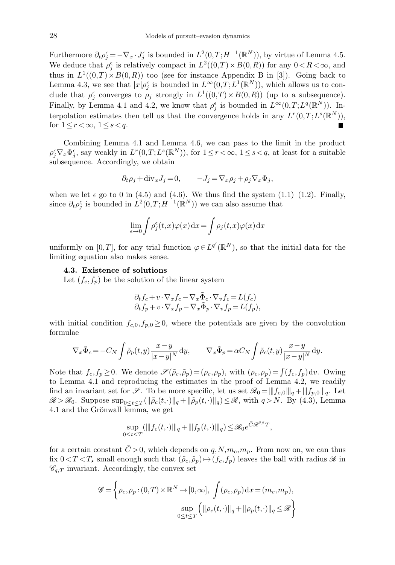Furthermore  $\partial_t \rho_j^{\epsilon} = -\nabla_x \cdot J_j^{\epsilon}$  is bounded in  $L^2(0,T;H^{-1}(\mathbb{R}^N))$ , by virtue of Lemma 4.5. We deduce that  $\rho_j^{\epsilon}$  is relatively compact in  $L^2((0,T) \times B(0,R))$  for any  $0 < R < \infty$ , and thus in  $L^1((0,T)\times B(0,R))$  too (see for instance Appendix B in [3]). Going back to Lemma 4.3, we see that  $|x|\rho_j^{\epsilon}$  is bounded in  $L^{\infty}(0,T;L^1(\mathbb{R}^N))$ , which allows us to conclude that  $\rho_j^{\epsilon}$  converges to  $\rho_j$  strongly in  $L^1((0,T) \times B(0,R))$  (up to a subsequence). Finally, by Lemma 4.1 and 4.2, we know that  $\rho_j^{\epsilon}$  is bounded in  $L^{\infty}(0,T;L^q(\mathbb{R}^N))$ . Interpolation estimates then tell us that the convergence holds in any  $L^r(0,T;L^s(\mathbb{R}^N))$ , for  $1 \leq r < \infty$ ,  $1 \leq s < q$ . П

Combining Lemma 4.1 and Lemma 4.6, we can pass to the limit in the product  $\rho_j^{\epsilon} \nabla_x \Phi_j^{\epsilon}$ , say weakly in  $L^r(0,T;L^s(\mathbb{R}^N))$ , for  $1 \leq r < \infty$ ,  $1 \leq s < q$ , at least for a suitable subsequence. Accordingly, we obtain

$$
\partial_t \rho_j + \text{div}_x J_j = 0, \qquad -J_j = \nabla_x \rho_j + \rho_j \nabla_x \Phi_j,
$$

when we let  $\epsilon$  go to 0 in (4.5) and (4.6). We thus find the system (1.1)–(1.2). Finally, since  $\partial_t \rho_j^{\epsilon}$  is bounded in  $L^2(0,T;H^{-1}(\mathbb{R}^N))$  we can also assume that

$$
\lim_{\epsilon \to 0} \int \rho_j^{\epsilon}(t, x) \varphi(x) dx = \int \rho_j(t, x) \varphi(x) dx
$$

uniformly on [0,T], for any trial function  $\varphi \in L^{q'}(\mathbb{R}^N)$ , so that the initial data for the limiting equation also makes sense.

### 4.3. Existence of solutions

Let  $(f_c, f_p)$  be the solution of the linear system

$$
\partial_t f_c + v \cdot \nabla_x f_c - \nabla_x \tilde{\Phi}_c \cdot \nabla_v f_c = L(f_c) \n\partial_t f_p + v \cdot \nabla_x f_p - \nabla_x \tilde{\Phi}_p \cdot \nabla_v f_p = L(f_p),
$$

with initial condition  $f_{c,0}, f_{p,0} \ge 0$ , where the potentials are given by the convolution formulae

$$
\nabla_x \tilde{\Phi}_c = -C_N \int \tilde{\rho}_p(t, y) \frac{x - y}{|x - y|^N} \, \mathrm{d}y, \qquad \nabla_x \tilde{\Phi}_p = \alpha C_N \int \tilde{\rho}_c(t, y) \frac{x - y}{|x - y|^N} \, \mathrm{d}y.
$$

Note that  $f_c, f_p \ge 0$ . We denote  $\mathscr{S}(\tilde{\rho}_c, \tilde{\rho}_p) = (\rho_c, \rho_p)$ , with  $(\rho_c, \rho_p) = \int (f_c, f_p) dv$ . Owing to Lemma 4.1 and reproducing the estimates in the proof of Lemma 4.2, we readily find an invariant set for  $\mathscr{S}$ . To be more specific, let us set  $\mathscr{R}_0 = |||f_{c,0}|||_q + |||f_{p,0}|||_q$ . Let  $\mathscr{R} > \mathscr{R}_0$ . Suppose sup<sub>0≤t≤T</sub>( $\|\tilde{\rho}_c(t,\cdot)\|_q + \|\tilde{\rho}_p(t,\cdot)\|_q$ )≤ $\mathscr{R}$ , with  $q > N$ . By (4.3), Lemma 4.1 and the Grönwall lemma, we get

$$
\sup_{0 \le t \le T} (\||f_c(t, \cdot)\||_q + \|f_p(t, \cdot)\||_q) \le \Re_0 e^{\bar{C}\mathcal{R}^{2\beta}T},
$$

for a certain constant  $\bar{C} > 0$ , which depends on  $q, N, m_c, m_p$ . From now on, we can thus fix  $0 < T < T_{\star}$  small enough such that  $(\tilde{\rho}_c, \tilde{\rho}_p) \mapsto (f_c, f_p)$  leaves the ball with radius  $\mathscr R$  in  $\mathscr{C}_{q,T}$  invariant. Accordingly, the convex set

$$
\mathscr{G} = \left\{ \rho_c, \rho_p : (0, T) \times \mathbb{R}^N \to [0, \infty], \int (\rho_c, \rho_p) dx = (m_c, m_p), \sup_{0 \le t \le T} \left( \| \rho_c(t, \cdot) \|_q + \| \rho_p(t, \cdot) \|_q \le \mathscr{R} \right) \right\}
$$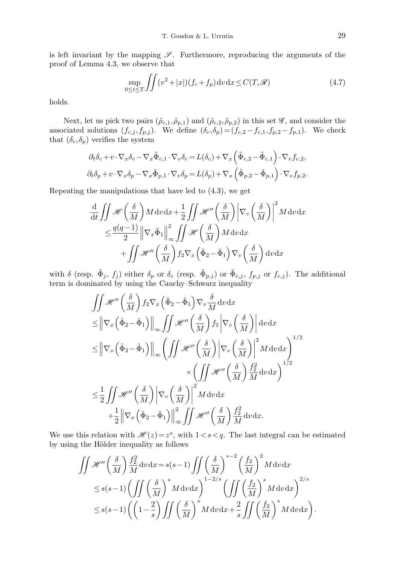is left invariant by the mapping  $\mathscr S$ . Furthermore, reproducing the arguments of the proof of Lemma 4.3, we observe that

$$
\sup_{0 \le t \le T} \iint (v^2 + |x|) (f_c + f_p) \, dv \, dx \le C(T, \mathcal{R}) \tag{4.7}
$$

holds.

Next, let us pick two pairs  $(\tilde{\rho}_{c,1}, \tilde{\rho}_{p,1})$  and  $(\tilde{\rho}_{c,2}, \tilde{\rho}_{p,2})$  in this set  $\mathscr{G}$ , and consider the associated solutions  $(f_{c,j}, f_{p,j})$ . We define  $(\delta_c, \delta_p) = (f_{c,2} - f_{c,1}, f_{p,2} - f_{p,1})$ . We check that  $(\delta_c, \delta_p)$  verifies the system

$$
\partial_t \delta_c + v \cdot \nabla_x \delta_c - \nabla_x \tilde{\Phi}_{c,1} \cdot \nabla_v \delta_c = L(\delta_c) + \nabla_x \left( \tilde{\Phi}_{c,2} - \tilde{\Phi}_{c,1} \right) \cdot \nabla_v f_{c,2},
$$
  

$$
\partial_t \delta_p + v \cdot \nabla_x \delta_p - \nabla_x \tilde{\Phi}_{p,1} \cdot \nabla_v \delta_p = L(\delta_p) + \nabla_x \left( \tilde{\Phi}_{p,2} - \tilde{\Phi}_{p,1} \right) \cdot \nabla_v f_{p,2}.
$$

Repeating the manipulations that have led to (4.3), we get

$$
\frac{\mathrm{d}}{\mathrm{d}t} \iint \mathcal{H}\left(\frac{\delta}{M}\right) M \, \mathrm{d}v \, \mathrm{d}x + \frac{1}{2} \iint \mathcal{H}''\left(\frac{\delta}{M}\right) \left|\nabla_v \left(\frac{\delta}{M}\right)\right|^2 M \, \mathrm{d}v \, \mathrm{d}x
$$
\n
$$
\leq \frac{q(q-1)}{2} \left\|\nabla_x \tilde{\Phi}_1\right\|_{\infty}^2 \iint \mathcal{H}\left(\frac{\delta}{M}\right) M \, \mathrm{d}v \, \mathrm{d}x
$$
\n
$$
+ \iint \mathcal{H}''\left(\frac{\delta}{M}\right) f_2 \nabla_x \left(\tilde{\Phi}_2 - \tilde{\Phi}_1\right) \nabla_v \left(\frac{\delta}{M}\right) \mathrm{d}v \, \mathrm{d}x
$$

with  $\delta$  (resp.  $\tilde{\Phi}_j$ ,  $f_j$ ) either  $\delta_p$  or  $\delta_c$  (resp.  $\tilde{\Phi}_{p,j}$ ) or  $\tilde{\Phi}_{c,j}$ ,  $f_{p,j}$  or  $f_{c,j}$ ). The additional term is dominated by using the Cauchy–Schwarz inequality

$$
\iint \mathcal{H}''\left(\frac{\delta}{M}\right) f_2 \nabla_x \left(\tilde{\Phi}_2 - \tilde{\Phi}_1\right) \nabla_v \frac{\delta}{M} dv dx
$$
\n
$$
\leq \left\| \nabla_x \left(\tilde{\Phi}_2 - \tilde{\Phi}_1\right) \right\|_{\infty} \iint \mathcal{H}''\left(\frac{\delta}{M}\right) f_2 \left| \nabla_v \left(\frac{\delta}{M}\right) \right| dv dx
$$
\n
$$
\leq \left\| \nabla_x \left(\tilde{\Phi}_2 - \tilde{\Phi}_1\right) \right\|_{\infty} \left( \iint \mathcal{H}''\left(\frac{\delta}{M}\right) \left| \nabla_v \left(\frac{\delta}{M}\right) \right|^2 M dv dx \right)^{1/2}
$$
\n
$$
\times \left( \iint \mathcal{H}''\left(\frac{\delta}{M}\right) \frac{f_2^2}{M} dv dx \right)^{1/2}
$$
\n
$$
\leq \frac{1}{2} \iint \mathcal{H}''\left(\frac{\delta}{M}\right) \left| \nabla_v \left(\frac{\delta}{M}\right) \right|^2 M dv dx
$$
\n
$$
+ \frac{1}{2} \left\| \nabla_x \left(\tilde{\Phi}_2 - \tilde{\Phi}_1\right) \right\|_{\infty}^2 \iint \mathcal{H}''\left(\frac{\delta}{M}\right) \frac{f_2^2}{M} dv dx.
$$

We use this relation with  $\mathcal{H}(z) = z^s$ , with  $1 < s < q$ . The last integral can be estimated by using the Hölder inequality as follows

$$
\iint \mathcal{H}''\left(\frac{\delta}{M}\right) \frac{f_2^2}{M} dv dx = s(s-1) \iint \left(\frac{\delta}{M}\right)^{s-2} \left(\frac{f_2}{M}\right)^2 M dv dx
$$
  
\n
$$
\leq s(s-1) \left(\iint \left(\frac{\delta}{M}\right)^s M dv dx\right)^{1-2/s} \left(\iint \left(\frac{f_2}{M}\right)^s M dv dx\right)^{2/s}
$$
  
\n
$$
\leq s(s-1) \left(\left(1-\frac{2}{s}\right) \iint \left(\frac{\delta}{M}\right)^s M dv dx + \frac{2}{s} \iint \left(\frac{f_2}{M}\right)^s M dv dx\right).
$$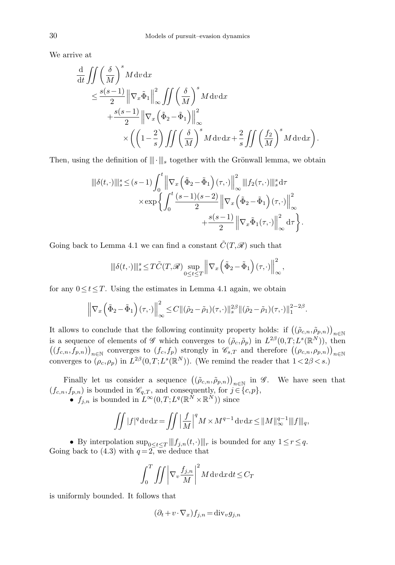We arrive at

$$
\frac{\mathrm{d}}{\mathrm{d}t} \iint \left(\frac{\delta}{M}\right)^s M \,\mathrm{d}v \,\mathrm{d}x \n\leq \frac{s(s-1)}{2} \left\| \nabla_x \tilde{\Phi}_1 \right\|_{\infty}^2 \iint \left(\frac{\delta}{M}\right)^s M \,\mathrm{d}v \,\mathrm{d}x \n+ \frac{s(s-1)}{2} \left\| \nabla_x \left(\tilde{\Phi}_2 - \tilde{\Phi}_1 \right) \right\|_{\infty}^2 \n\times \left( \left(1 - \frac{2}{s}\right) \iint \left(\frac{\delta}{M}\right)^s M \,\mathrm{d}v \,\mathrm{d}x + \frac{2}{s} \iint \left(\frac{f_2}{M}\right)^s M \,\mathrm{d}v \,\mathrm{d}x \right).
$$

Then, using the definition of  $\|\cdot\|_s$  together with the Grönwall lemma, we obtain

$$
\begin{split} \|\delta(t,\cdot)\|_{s}^{s} &\leq (s-1)\int_{0}^{t}\left\|\nabla_{x}\left(\tilde{\Phi}_{2}-\tilde{\Phi}_{1}\right)(\tau,\cdot)\right\|_{\infty}^{2}\left\|f_{2}(\tau,\cdot)\right\|_{s}^{s} \mathrm{d}\tau\\ &\times \exp\biggl\{\int_{0}^{t}\frac{(s-1)(s-2)}{2}\left\|\nabla_{x}\left(\tilde{\Phi}_{2}-\tilde{\Phi}_{1}\right)(\tau,\cdot)\right\|_{\infty}^{2}\\ &\qquad\qquad+\frac{s(s-1)}{2}\left\|\nabla_{x}\tilde{\Phi}_{1}(\tau,\cdot)\right\|_{\infty}^{2} \mathrm{d}\tau\biggr\}. \end{split}
$$

Going back to Lemma 4.1 we can find a constant  $\tilde{C}(T,\mathscr{R})$  such that

$$
\left|\left\|\delta(t,\cdot)\right\|\right|_s^s\!\leq\!T\tilde{C}(T,\mathscr{R})\sup_{0\leq t\leq T}\left\|\nabla_x\left(\tilde{\Phi}_2\!-\!\tilde{\Phi}_1\right)(\tau,\cdot)\right\|_\infty^2
$$

,

for any  $0 \le t \le T$ . Using the estimates in Lemma 4.1 again, we obtain

$$
\left\|\nabla_x\left(\tilde{\Phi}_2-\tilde{\Phi}_1\right)(\tau,\cdot)\right\|_{\infty}^2\leq C\|(\tilde{\rho}_2-\tilde{\rho}_1)(\tau,\cdot)\|_s^{2\beta}\|(\tilde{\rho}_2-\tilde{\rho}_1)(\tau,\cdot)\|_1^{2-2\beta}.
$$

It allows to conclude that the following continuity property holds: if  $((\tilde{\rho}_{c,n}, \tilde{\rho}_{p,n}))_{n \in \mathbb{N}}$ is a sequence of elements of  $\mathscr G$  which converges to  $(\tilde\rho_c, \tilde\rho_p)$  in  $L^{2\beta}(0,T; L^s(\mathbb R^N))$ , then  $((f_{c,n},f_{p,n}))_{n\in\mathbb{N}}$  converges to  $(f_c,f_p)$  strongly in  $\mathscr{C}_{s,T}$  and therefore  $((\rho_{c,n},\rho_{p,n}))_{n\in\mathbb{N}}$ converges to  $(\rho_c, \rho_p)$  in  $L^{2\beta}(0,T; L^s(\mathbb{R}^N))$ . (We remind the reader that  $1 < 2\beta < s$ .)

Finally let us consider a sequence  $((\tilde{\rho}_{c,n}, \tilde{\rho}_{p,n}))_{n \in \mathbb{N}}$  in  $\mathscr{G}$ . We have seen that  $(f_{c,n},f_{p,n})$  is bounded in  $\mathscr{C}_{q,T}$ , and consequently, for  $j \in \{c,p\}$ ,

•  $f_{j,n}$  is bounded in  $L^{\infty}(0,T;L^{q}(\mathbb{R}^N\times\mathbb{R}^N))$  since

$$
\iint |f|^q \, dv \, dx = \iint \left| \frac{f}{M} \right|^q M \times M^{q-1} \, dv \, dx \le \|M\|_{\infty}^{q-1} \|f\|_{q},
$$

• By interpolation  $\sup_{0 \le t \le T} ||f_{j,n}(t, \cdot)||_r$  is bounded for any  $1 \le r \le q$ . Going back to (4.3) with  $q = 2$ , we deduce that

$$
\int_0^T \int \int \left| \nabla_v \frac{f_{j,n}}{M} \right|^2 M \, \mathrm{d}v \, \mathrm{d}x \, \mathrm{d}t \le C_T
$$

is uniformly bounded. It follows that

$$
(\partial_t + v \cdot \nabla_x) f_{j,n} = \text{div}_v g_{j,n}
$$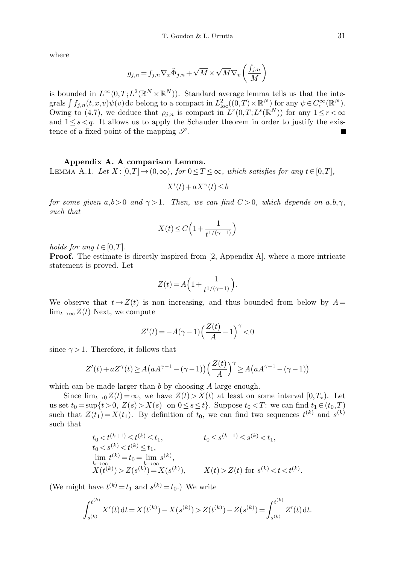where

$$
g_{j,n} = f_{j,n} \nabla_x \tilde{\Phi}_{j,n} + \sqrt{M} \times \sqrt{M} \nabla_v \left( \frac{f_{j,n}}{M} \right)
$$

is bounded in  $L^{\infty}(0,T;L^2(\mathbb{R}^N\times\mathbb{R}^N))$ . Standard average lemma tells us that the integrals  $\int f_{j,n}(t,x,v)\psi(v) dv$  belong to a compact in  $L^2_{loc}((0,T)\times \mathbb{R}^N)$  for any  $\psi \in C_c^{\infty}(\mathbb{R}^N)$ . Owing to (4.7), we deduce that  $\rho_{j,n}$  is compact in  $L^r(0,T;L^s(\mathbb{R}^N))$  for any  $1 \leq r < \infty$ and  $1 \leq s \leq q$ . It allows us to apply the Schauder theorem in order to justify the existence of a fixed point of the mapping  $\mathscr{S}$ .

## Appendix A. A comparison Lemma.

LEMMA A.1. Let  $X: [0,T] \to (0,\infty)$ , for  $0 \leq T \leq \infty$ , which satisfies for any  $t \in [0,T]$ ,

$$
X'(t) + aX^{\gamma}(t) \le b
$$

for some given a,b > 0 and  $\gamma$  > 1. Then, we can find  $C$  > 0, which depends on a,b, $\gamma$ , such that

$$
X(t) \le C\left(1 + \frac{1}{t^{1/(\gamma - 1)}}\right)
$$

holds for any  $t \in [0,T]$ .

**Proof.** The estimate is directly inspired from [2, Appendix A], where a more intricate statement is proved. Let

$$
Z(t) = A\Big(1 + \frac{1}{t^{1/(\gamma - 1)}}\Big).
$$

We observe that  $t\mapsto Z(t)$  is non increasing, and thus bounded from below by  $A=$  $\lim_{t\to\infty} Z(t)$  Next, we compute

$$
Z'(t) = -A(\gamma - 1)\left(\frac{Z(t)}{A} - 1\right)^{\gamma} < 0
$$

since  $\gamma > 1$ . Therefore, it follows that

$$
Z'(t) + aZ^{\gamma}(t) \ge A\left(aA^{\gamma-1} - (\gamma - 1)\right) \left(\frac{Z(t)}{A}\right)^{\gamma} \ge A\left(aA^{\gamma-1} - (\gamma - 1)\right)
$$

which can be made larger than b by choosing A large enough.

Since  $\lim_{t\to 0} Z(t) = \infty$ , we have  $Z(t) > X(t)$  at least on some interval  $[0, T<sub>\star</sub>)$ . Let us set  $t_0 = \sup\{t > 0, Z(s) > X(s) \text{ on } 0 \le s \le t\}.$  Suppose  $t_0 < T$ : we can find  $t_1 \in (t_0, T)$ such that  $Z(t_1) = X(t_1)$ . By definition of  $t_0$ , we can find two sequences  $t^{(k)}$  and  $s^{(k)}$ such that

$$
t_0 < t^{(k+1)} \leq t^{(k)} \leq t_1, \qquad t_0 \leq s^{(k+1)} \leq s^{(k)} < t_1, \n t_0 < s^{(k)} < t^{(k)} \leq t_1, \n \lim_{k \to \infty} t^{(k)} = t_0 = \lim_{k \to \infty} s^{(k)}, \n X(t^{(k)}) > Z(s^{(k)}) = X(s^{(k)}), \qquad X(t) > Z(t) \text{ for } s^{(k)} < t < t^{(k)}.
$$

(We might have  $t^{(k)} = t_1$  and  $s^{(k)} = t_0$ .) We write

$$
\int_{s^{(k)}}^{t^{(k)}} X'(t) dt = X(t^{(k)}) - X(s^{(k)}) > Z(t^{(k)}) - Z(s^{(k)}) = \int_{s^{(k)}}^{t^{(k)}} Z'(t) dt.
$$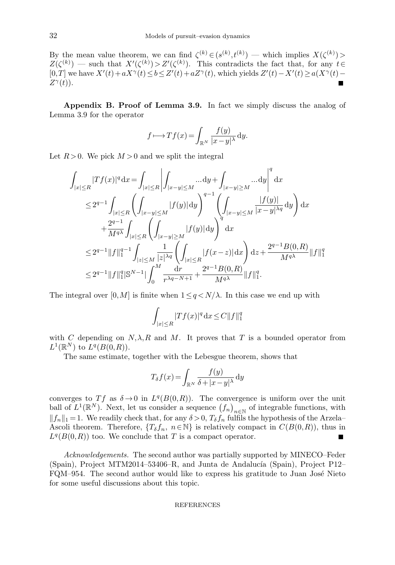By the mean value theorem, we can find  $\zeta^{(k)} \in (s^{(k)}, t^{(k)})$  — which implies  $X(\zeta^{(k)})$  $Z(\zeta^{(k)})$  — such that  $X'(\zeta^{(k)}) > Z'(\zeta^{(k)})$ . This contradicts the fact that, for any  $t \in$ [0,T] we have  $X'(t) + aX^{\gamma}(t) \le b \le Z'(t) + aZ^{\gamma}(t)$ , which yields  $Z'(t) - X'(t) \ge a(X^{\gamma}(t) Z^{\gamma}(t)$ ).

Appendix B. Proof of Lemma 3.9. In fact we simply discuss the analog of Lemma 3.9 for the operator

$$
f \longrightarrow Tf(x) = \int_{\mathbb{R}^N} \frac{f(y)}{|x - y|^{\lambda}} dy.
$$

Let  $R > 0$ . We pick  $M > 0$  and we split the integral

$$
\begin{split} &\int_{|x|\leq R}|Tf(x)|^q\,\mathrm{d}x=\int_{|x|\leq R}\left|\int_{|x-y|\leq M}\dots\mathrm{d}y+\int_{|x-y|\geq M}\dots\mathrm{d}y\right|^q\,\mathrm{d}x\\ &\leq 2^{q-1}\int_{|x|\leq R}\left(\int_{|x-y|\leq M}|f(y)|\,\mathrm{d}y\right)^{q-1}\left(\int_{|x-y|\leq M}\frac{|f(y)|}{|x-y|^{\lambda q}}\,\mathrm{d}y\right)\,\mathrm{d}x\\ &\quad+\frac{2^{q-1}}{M^{q\lambda}}\int_{|x|\leq R}\left(\int_{|x-y|\geq M}|f(y)|\,\mathrm{d}y\right)^q\,\mathrm{d}x\\ &\leq 2^{q-1}\|f\|_1^{q-1}\int_{|x|\leq M}\frac{1}{|z|^{\lambda q}}\left(\int_{|x|\leq R}|f(x-z)|\,\mathrm{d}x\right)\,\mathrm{d}z+\frac{2^{q-1}B(0,R)}{M^{q\lambda}}\|f\|_1^q\\ &\leq 2^{q-1}\|f\|_1^q|\mathbb{S}^{N-1}|\int_0^M\frac{\mathrm{d}r}{r^{\lambda q-N+1}}+\frac{2^{q-1}B(0,R)}{M^{q\lambda}}\|f\|_1^q. \end{split}
$$

The integral over [0, M] is finite when  $1 \leq q \leq N/\lambda$ . In this case we end up with

$$
\int_{|x| \le R} |Tf(x)|^q \, dx \le C \|f\|_1^q
$$

with C depending on  $N, \lambda, R$  and M. It proves that T is a bounded operator from  $L^1(\mathbb{R}^N)$  to  $L^q(B(0,R)).$ 

The same estimate, together with the Lebesgue theorem, shows that

$$
T_{\delta}f(x) = \int_{\mathbb{R}^N} \frac{f(y)}{\delta + |x - y|^\lambda} \, \mathrm{d}y
$$

converges to Tf as  $\delta \to 0$  in  $L^q(B(0,R))$ . The convergence is uniform over the unit ball of  $L^1(\mathbb{R}^N)$ . Next, let us consider a sequence  $(f_n)_{n\in\mathbb{N}}$  of integrable functions, with  $||f_n||_1 = 1$ . We readily check that, for any  $\delta > 0$ ,  $T_{\delta}f_n$  fulfils the hypothesis of the Arzela– Ascoli theorem. Therefore,  $\{T_{\delta}f_n, n \in \mathbb{N}\}\$ is relatively compact in  $C(B(0,R))$ , thus in  $L^q(B(0,R))$  too. We conclude that T is a compact operator. Ŧ

Acknowledgements. The second author was partially supported by MINECO–Feder (Spain), Project MTM2014–53406–R, and Junta de Andalucía (Spain), Project P12– FQM–954. The second author would like to express his gratitude to Juan José Nieto for some useful discussions about this topic.

### REFERENCES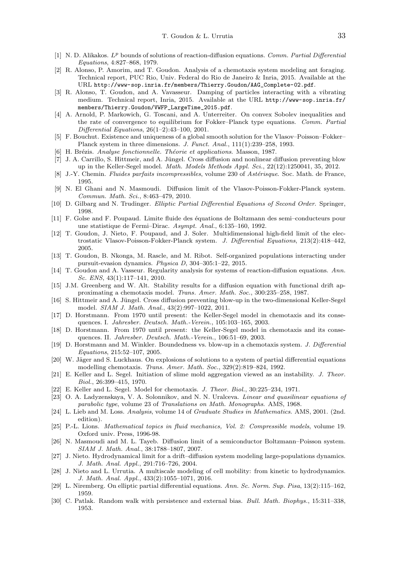- [1] N. D. Alikakos.  $L^p$  bounds of solutions of reaction-diffusion equations. Comm. Partial Differential Equations, 4:827–868, 1979.
- [2] R. Alonso, P. Amorim, and T. Goudon. Analysis of a chemotaxis system modeling ant foraging. Technical report, PUC Rio, Univ. Federal do Rio de Janeiro & Inria, 2015. Available at the URL http://www-sop.inria.fr/members/Thierry.Goudon/AAG\_Complete-02.pdf.
- [3] R. Alonso, T. Goudon, and A. Vavasseur. Damping of particles interacting with a vibrating medium. Technical report, Inria, 2015. Available at the URL http://www-sop.inria.fr/ members/Thierry.Goudon/VWFP\_LargeTime\_2015.pdf.
- [4] A. Arnold, P. Markowich, G. Toscani, and A. Unterreiter. On convex Sobolev inequalities and the rate of convergence to equilibrium for Fokker–Planck type equations. Comm. Partial Differential Equations, 26(1–2):43–100, 2001.
- [5] F. Bouchut. Existence and uniqueness of a global smooth solution for the Vlasov–Poisson–Fokker– Planck system in three dimensions. J. Funct. Anal., 111(1):239–258, 1993.
- [6] H. Brézis. Analyse fonctionnelle. Théorie et applications. Masson, 1987.
- [7] J. A. Carrillo, S. Hittmeir, and A. Jüngel. Cross diffusion and nonlinear diffusion preventing blow up in the Keller-Segel model. Math. Models Methods Appl. Sci., 22(12):1250041, 35, 2012.
- [8] J.-Y. Chemin. Fluides parfaits incompressibles, volume 230 of Astérisque. Soc. Math. de France, 1995.
- [9] N. El Ghani and N. Masmoudi. Diffusion limit of the Vlasov-Poisson-Fokker-Planck system. Commun. Math. Sci., 8:463–479, 2010.
- [10] D. Gilbarg and N. Trudinger. Elliptic Partial Differential Equations of Second Order. Springer, 1998.
- [11] F. Golse and F. Poupaud. Limite fluide des ´equations de Boltzmann des semi–conducteurs pour une statistique de Fermi–Dirac. Asympt. Anal., 6:135–160, 1992.
- [12] T. Goudon, J. Nieto, F. Poupaud, and J. Soler. Multidimensional high-field limit of the electrostatic Vlasov-Poisson-Fokker-Planck system. J. Differential Equations, 213(2):418–442, 2005.
- [13] T. Goudon, B. Nkonga, M. Rascle, and M. Ribot. Self-organized populations interacting under pursuit-evasion dynamics. Physica D, 304–305:1–22, 2015.
- [14] T. Goudon and A. Vasseur. Regularity analysis for systems of reaction-diffusion equations. Ann. Sc. ENS, 43(1):117–141, 2010.
- [15] J.M. Greenberg and W. Alt. Stability results for a diffusion equation with functional drift approximating a chemotaxis model. Trans. Amer. Math. Soc., 300:235–258, 1987.
- [16] S. Hittmeir and A. Jüngel. Cross diffusion preventing blow-up in the two-dimensional Keller-Segel model. SIAM J. Math. Anal., 43(2):997–1022, 2011.
- [17] D. Horstmann. From 1970 until present: the Keller-Segel model in chemotaxis and its consequences. I. Jahresber. Deutsch. Math.-Verein., 105:103–165, 2003.
- [18] D. Horstmann. From 1970 until present: the Keller-Segel model in chemotaxis and its consequences. II. Jahresber. Deutsch. Math.-Verein., 106:51–69, 2003.
- [19] D. Horstmann and M. Winkler. Boundedness vs. blow-up in a chemotaxis system. J. Differential Equations, 215:52–107, 2005.
- [20] W. Jäger and S. Luckhaus. On explosions of solutions to a system of partial differential equations modelling chemotaxis. Trans. Amer. Math. Soc., 329(2):819–824, 1992.
- [21] E. Keller and L. Segel. Initiation of slime mold aggregation viewed as an instability. J. Theor. Biol., 26:399–415, 1970.
- [22] E. Keller and L. Segel. Model for chemotaxis. J. Theor. Biol., 30:225–234, 1971.
- [23] O. A. Ladyzenskaya, V. A. Solonnikov, and N. N. Uralceva. *Linear and quasilinear equations of* parabolic type, volume 23 of Translations on Math. Monographs. AMS, 1968.
- [24] L. Lieb and M. Loss. Analysis, volume 14 of Graduate Studies in Mathematics. AMS, 2001. (2nd. edition).
- [25] P.-L. Lions. Mathematical topics in fluid mechanics, Vol. 2: Compressible models, volume 19. Oxford univ. Press, 1996-98.
- [26] N. Masmoudi and M. L. Tayeb. Diffusion limit of a semiconductor Boltzmann–Poisson system. SIAM J. Math. Anal., 38:1788–1807, 2007.
- [27] J. Nieto. Hydrodynamical limit for a drift–diffusion system modeling large-populations dynamics. J. Math. Anal. Appl., 291:716–726, 2004.
- [28] J. Nieto and L. Urrutia. A multiscale modeling of cell mobility: from kinetic to hydrodynamics. J. Math. Anal. Appl., 433(2):1055–1071, 2016.
- [29] L. Niremberg. On elliptic partial differential equations. Ann. Sc. Norm. Sup. Pisa, 13(2):115–162, 1959.
- [30] C. Patlak. Random walk with persistence and external bias. Bull. Math. Biophys., 15:311–338, 1953.